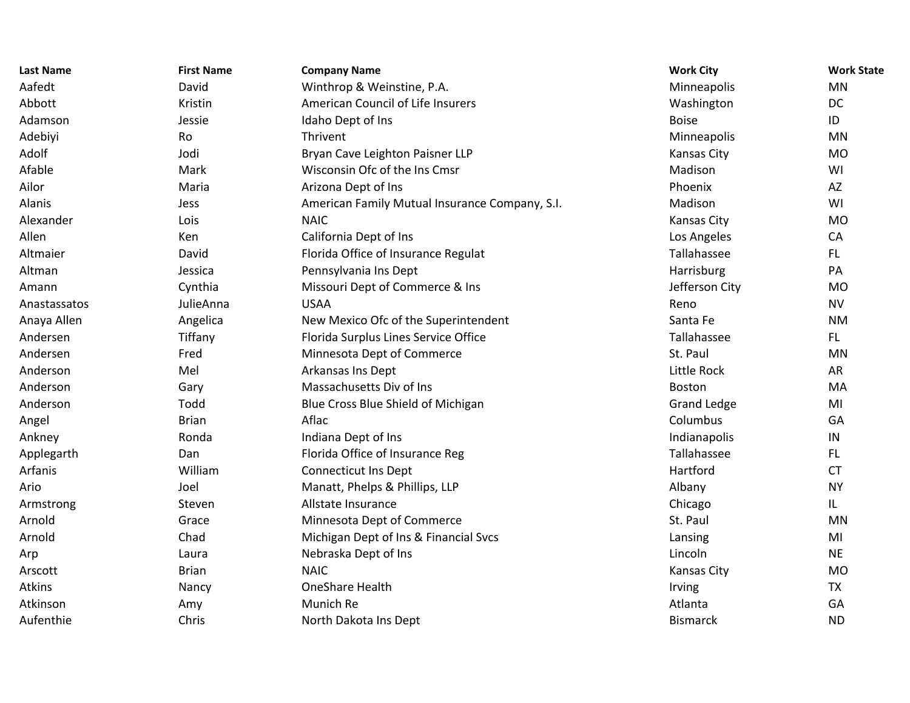| <b>Last Name</b> | <b>First Name</b> | <b>Company Name</b>                            | <b>Work City</b>   | <b>Work State</b> |
|------------------|-------------------|------------------------------------------------|--------------------|-------------------|
| Aafedt           | David             | Winthrop & Weinstine, P.A.                     | Minneapolis        | MN                |
| Abbott           | Kristin           | American Council of Life Insurers              | Washington         | DC                |
| Adamson          | Jessie            | Idaho Dept of Ins                              | <b>Boise</b>       | ID                |
| Adebiyi          | Ro                | Thrivent                                       | Minneapolis        | MN                |
| Adolf            | Jodi              | Bryan Cave Leighton Paisner LLP                | Kansas City        | <b>MO</b>         |
| Afable           | Mark              | Wisconsin Ofc of the Ins Cmsr                  | Madison            | WI                |
| Ailor            | Maria             | Arizona Dept of Ins                            | Phoenix            | AZ                |
| Alanis           | Jess              | American Family Mutual Insurance Company, S.I. | Madison            | WI                |
| Alexander        | Lois              | <b>NAIC</b>                                    | Kansas City        | <b>MO</b>         |
| Allen            | Ken               | California Dept of Ins                         | Los Angeles        | CA                |
| Altmaier         | David             | Florida Office of Insurance Regulat            | Tallahassee        | FL.               |
| Altman           | Jessica           | Pennsylvania Ins Dept                          | Harrisburg         | PA                |
| Amann            | Cynthia           | Missouri Dept of Commerce & Ins                | Jefferson City     | <b>MO</b>         |
| Anastassatos     | JulieAnna         | <b>USAA</b>                                    | Reno               | <b>NV</b>         |
| Anaya Allen      | Angelica          | New Mexico Ofc of the Superintendent           | Santa Fe           | <b>NM</b>         |
| Andersen         | Tiffany           | Florida Surplus Lines Service Office           | Tallahassee        | FL.               |
| Andersen         | Fred              | Minnesota Dept of Commerce                     | St. Paul           | MN                |
| Anderson         | Mel               | Arkansas Ins Dept                              | Little Rock        | AR                |
| Anderson         | Gary              | Massachusetts Div of Ins                       | Boston             | MA                |
| Anderson         | Todd              | Blue Cross Blue Shield of Michigan             | <b>Grand Ledge</b> | MI                |
| Angel            | <b>Brian</b>      | Aflac                                          | Columbus           | GA                |
| Ankney           | Ronda             | Indiana Dept of Ins                            | Indianapolis       | ${\sf IN}$        |
| Applegarth       | Dan               | Florida Office of Insurance Reg                | Tallahassee        | FL.               |
| Arfanis          | William           | <b>Connecticut Ins Dept</b>                    | Hartford           | <b>CT</b>         |
| Ario             | Joel              | Manatt, Phelps & Phillips, LLP                 | Albany             | <b>NY</b>         |
| Armstrong        | Steven            | Allstate Insurance                             | Chicago            | IL.               |
| Arnold           | Grace             | Minnesota Dept of Commerce                     | St. Paul           | <b>MN</b>         |
| Arnold           | Chad              | Michigan Dept of Ins & Financial Svcs          | Lansing            | MI                |
| Arp              | Laura             | Nebraska Dept of Ins                           | Lincoln            | <b>NE</b>         |
| Arscott          | <b>Brian</b>      | <b>NAIC</b>                                    | Kansas City        | <b>MO</b>         |
| <b>Atkins</b>    | Nancy             | <b>OneShare Health</b>                         | Irving             | <b>TX</b>         |
| Atkinson         | Amy               | Munich Re                                      | Atlanta            | GA                |
| Aufenthie        | Chris             | North Dakota Ins Dept                          | <b>Bismarck</b>    | <b>ND</b>         |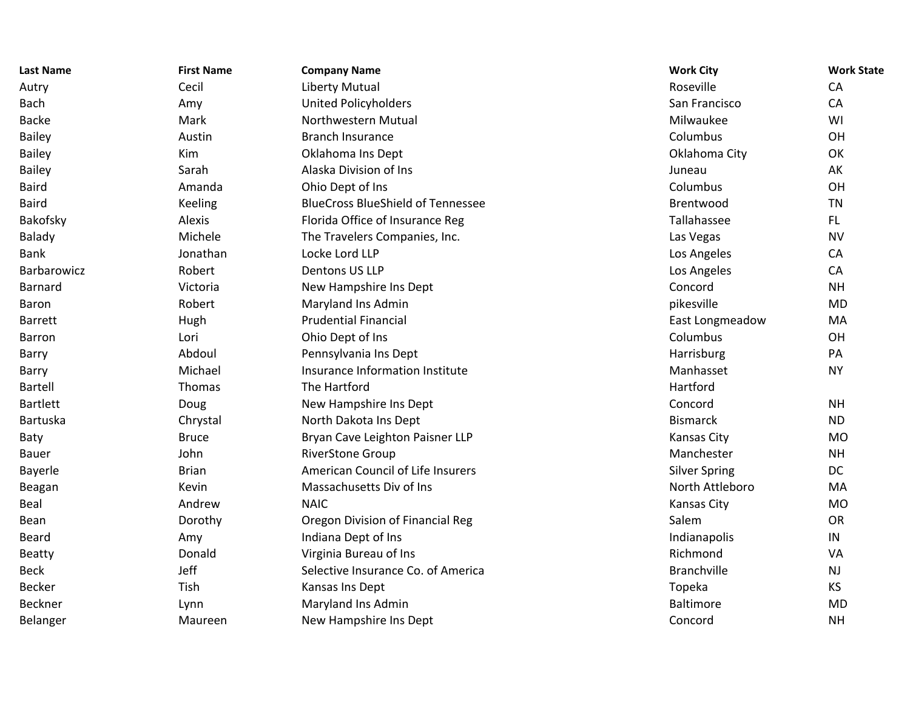| <b>Last Name</b> | <b>First Name</b> | <b>Company Name</b>                      | <b>Work City</b>     | <b>Work State</b> |
|------------------|-------------------|------------------------------------------|----------------------|-------------------|
| Autry            | Cecil             | <b>Liberty Mutual</b>                    | Roseville            | CA                |
| <b>Bach</b>      | Amy               | <b>United Policyholders</b>              | San Francisco        | CA                |
| <b>Backe</b>     | Mark              | Northwestern Mutual                      | Milwaukee            | WI                |
| <b>Bailey</b>    | Austin            | <b>Branch Insurance</b>                  | Columbus             | OH                |
| <b>Bailey</b>    | Kim               | Oklahoma Ins Dept                        | Oklahoma City        | OK                |
| <b>Bailey</b>    | Sarah             | Alaska Division of Ins                   | Juneau               | AK                |
| <b>Baird</b>     | Amanda            | Ohio Dept of Ins                         | Columbus             | OH                |
| <b>Baird</b>     | <b>Keeling</b>    | <b>BlueCross BlueShield of Tennessee</b> | Brentwood            | <b>TN</b>         |
| Bakofsky         | Alexis            | Florida Office of Insurance Reg          | Tallahassee          | FL.               |
| <b>Balady</b>    | Michele           | The Travelers Companies, Inc.            | Las Vegas            | <b>NV</b>         |
| <b>Bank</b>      | Jonathan          | Locke Lord LLP                           | Los Angeles          | CA                |
| Barbarowicz      | Robert            | Dentons US LLP                           | Los Angeles          | CA                |
| Barnard          | Victoria          | New Hampshire Ins Dept                   | Concord              | <b>NH</b>         |
| Baron            | Robert            | Maryland Ins Admin                       | pikesville           | <b>MD</b>         |
| <b>Barrett</b>   | Hugh              | <b>Prudential Financial</b>              | East Longmeadow      | MA                |
| Barron           | Lori              | Ohio Dept of Ins                         | Columbus             | OH                |
| Barry            | Abdoul            | Pennsylvania Ins Dept                    | Harrisburg           | PA                |
| Barry            | Michael           | Insurance Information Institute          | Manhasset            | <b>NY</b>         |
| Bartell          | Thomas            | The Hartford                             | Hartford             |                   |
| <b>Bartlett</b>  | Doug              | New Hampshire Ins Dept                   | Concord              | <b>NH</b>         |
| Bartuska         | Chrystal          | North Dakota Ins Dept                    | <b>Bismarck</b>      | <b>ND</b>         |
| Baty             | <b>Bruce</b>      | Bryan Cave Leighton Paisner LLP          | Kansas City          | <b>MO</b>         |
| <b>Bauer</b>     | John              | <b>RiverStone Group</b>                  | Manchester           | <b>NH</b>         |
| Bayerle          | <b>Brian</b>      | American Council of Life Insurers        | <b>Silver Spring</b> | <b>DC</b>         |
| Beagan           | Kevin             | Massachusetts Div of Ins                 | North Attleboro      | MA                |
| Beal             | Andrew            | <b>NAIC</b>                              | Kansas City          | <b>MO</b>         |
| Bean             | Dorothy           | Oregon Division of Financial Reg         | Salem                | OR                |
| Beard            | Amy               | Indiana Dept of Ins                      | Indianapolis         | $\sf IN$          |
| <b>Beatty</b>    | Donald            | Virginia Bureau of Ins                   | Richmond             | VA                |
| <b>Beck</b>      | Jeff              | Selective Insurance Co. of America       | <b>Branchville</b>   | <b>NJ</b>         |
| <b>Becker</b>    | Tish              | Kansas Ins Dept                          | Topeka               | <b>KS</b>         |
| <b>Beckner</b>   | Lynn              | Maryland Ins Admin                       | <b>Baltimore</b>     | <b>MD</b>         |
| Belanger         | Maureen           | New Hampshire Ins Dept                   | Concord              | <b>NH</b>         |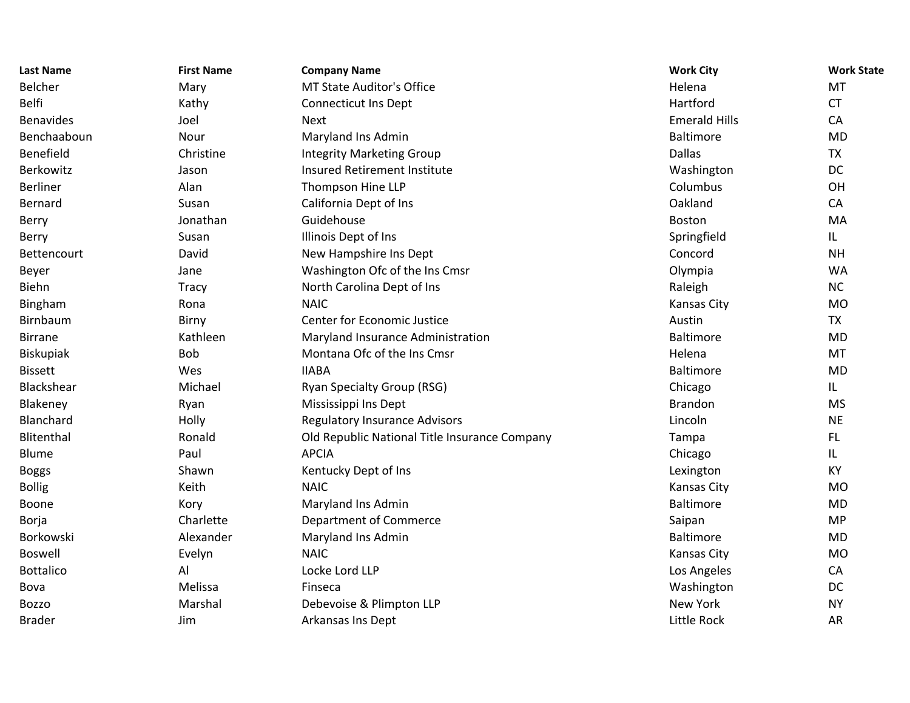| <b>Last Name</b> | <b>First Name</b> | <b>Company Name</b>                           | <b>Work City</b>     | <b>Work State</b> |
|------------------|-------------------|-----------------------------------------------|----------------------|-------------------|
| Belcher          | Mary              | <b>MT State Auditor's Office</b>              | Helena               | MT                |
| <b>Belfi</b>     | Kathy             | <b>Connecticut Ins Dept</b>                   | Hartford             | <b>CT</b>         |
| <b>Benavides</b> | Joel              | <b>Next</b>                                   | <b>Emerald Hills</b> | CA                |
| Benchaaboun      | Nour              | Maryland Ins Admin                            | <b>Baltimore</b>     | <b>MD</b>         |
| Benefield        | Christine         | <b>Integrity Marketing Group</b>              | <b>Dallas</b>        | <b>TX</b>         |
| Berkowitz        | Jason             | Insured Retirement Institute                  | Washington           | DC                |
| <b>Berliner</b>  | Alan              | Thompson Hine LLP                             | Columbus             | OH                |
| Bernard          | Susan             | California Dept of Ins                        | Oakland              | CA                |
| Berry            | Jonathan          | Guidehouse                                    | <b>Boston</b>        | MA                |
| Berry            | Susan             | Illinois Dept of Ins                          | Springfield          | IL                |
| Bettencourt      | David             | New Hampshire Ins Dept                        | Concord              | <b>NH</b>         |
| Beyer            | Jane              | Washington Ofc of the Ins Cmsr                | Olympia              | <b>WA</b>         |
| Biehn            | <b>Tracy</b>      | North Carolina Dept of Ins                    | Raleigh              | <b>NC</b>         |
| Bingham          | Rona              | <b>NAIC</b>                                   | Kansas City          | <b>MO</b>         |
| Birnbaum         | Birny             | Center for Economic Justice                   | Austin               | <b>TX</b>         |
| <b>Birrane</b>   | Kathleen          | Maryland Insurance Administration             | Baltimore            | <b>MD</b>         |
| Biskupiak        | Bob               | Montana Ofc of the Ins Cmsr                   | Helena               | MT                |
| <b>Bissett</b>   | Wes               | <b>IIABA</b>                                  | <b>Baltimore</b>     | <b>MD</b>         |
| Blackshear       | Michael           | Ryan Specialty Group (RSG)                    | Chicago              | L                 |
| Blakeney         | Ryan              | Mississippi Ins Dept                          | <b>Brandon</b>       | <b>MS</b>         |
| Blanchard        | Holly             | <b>Regulatory Insurance Advisors</b>          | Lincoln              | <b>NE</b>         |
| Blitenthal       | Ronald            | Old Republic National Title Insurance Company | Tampa                | FL.               |
| Blume            | Paul              | <b>APCIA</b>                                  | Chicago              | IL                |
| <b>Boggs</b>     | Shawn             | Kentucky Dept of Ins                          | Lexington            | KY                |
| <b>Bollig</b>    | Keith             | <b>NAIC</b>                                   | Kansas City          | <b>MO</b>         |
| Boone            | Kory              | Maryland Ins Admin                            | <b>Baltimore</b>     | <b>MD</b>         |
| Borja            | Charlette         | <b>Department of Commerce</b>                 | Saipan               | <b>MP</b>         |
| Borkowski        | Alexander         | Maryland Ins Admin                            | <b>Baltimore</b>     | <b>MD</b>         |
| <b>Boswell</b>   | Evelyn            | <b>NAIC</b>                                   | Kansas City          | <b>MO</b>         |
| <b>Bottalico</b> | Al                | Locke Lord LLP                                | Los Angeles          | CA                |
| Bova             | Melissa           | Finseca                                       | Washington           | DC                |
| <b>Bozzo</b>     | Marshal           | Debevoise & Plimpton LLP                      | <b>New York</b>      | <b>NY</b>         |
| <b>Brader</b>    | Jim               | <b>Arkansas Ins Dept</b>                      | Little Rock          | <b>AR</b>         |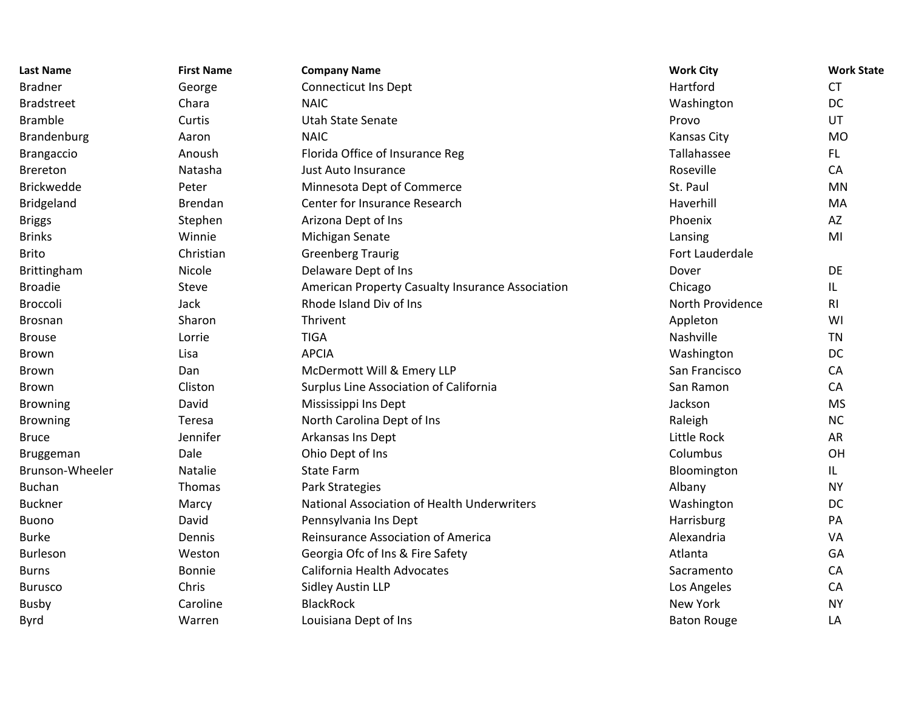| <b>Last Name</b>  | <b>First Name</b> | <b>Company Name</b>                              | <b>Work City</b>   | <b>Work State</b> |
|-------------------|-------------------|--------------------------------------------------|--------------------|-------------------|
| <b>Bradner</b>    | George            | <b>Connecticut Ins Dept</b>                      | Hartford           | <b>CT</b>         |
| <b>Bradstreet</b> | Chara             | <b>NAIC</b>                                      | Washington         | <b>DC</b>         |
| <b>Bramble</b>    | Curtis            | <b>Utah State Senate</b>                         | Provo              | UT                |
| Brandenburg       | Aaron             | <b>NAIC</b>                                      | Kansas City        | <b>MO</b>         |
| <b>Brangaccio</b> | Anoush            | Florida Office of Insurance Reg                  | Tallahassee        | FL.               |
| <b>Brereton</b>   | Natasha           | Just Auto Insurance                              | Roseville          | CA                |
| <b>Brickwedde</b> | Peter             | Minnesota Dept of Commerce                       | St. Paul           | <b>MN</b>         |
| <b>Bridgeland</b> | <b>Brendan</b>    | Center for Insurance Research                    | Haverhill          | MA                |
| <b>Briggs</b>     | Stephen           | Arizona Dept of Ins                              | Phoenix            | AZ                |
| <b>Brinks</b>     | Winnie            | Michigan Senate                                  | Lansing            | MI                |
| <b>Brito</b>      | Christian         | <b>Greenberg Traurig</b>                         | Fort Lauderdale    |                   |
| Brittingham       | Nicole            | Delaware Dept of Ins                             | Dover              | DE                |
| <b>Broadie</b>    | Steve             | American Property Casualty Insurance Association | Chicago            | IL                |
| Broccoli          | Jack              | Rhode Island Div of Ins                          | North Providence   | R <sub>l</sub>    |
| <b>Brosnan</b>    | Sharon            | Thrivent                                         | Appleton           | WI                |
| <b>Brouse</b>     | Lorrie            | <b>TIGA</b>                                      | Nashville          | <b>TN</b>         |
| Brown             | Lisa              | <b>APCIA</b>                                     | Washington         | DC                |
| <b>Brown</b>      | Dan               | McDermott Will & Emery LLP                       | San Francisco      | CA                |
| <b>Brown</b>      | Cliston           | Surplus Line Association of California           | San Ramon          | CA                |
| <b>Browning</b>   | David             | Mississippi Ins Dept                             | Jackson            | <b>MS</b>         |
| <b>Browning</b>   | Teresa            | North Carolina Dept of Ins                       | Raleigh            | <b>NC</b>         |
| <b>Bruce</b>      | Jennifer          | Arkansas Ins Dept                                | Little Rock        | AR                |
| Bruggeman         | Dale              | Ohio Dept of Ins                                 | Columbus           | OH                |
| Brunson-Wheeler   | Natalie           | <b>State Farm</b>                                | Bloomington        | IL.               |
| <b>Buchan</b>     | Thomas            | Park Strategies                                  | Albany             | <b>NY</b>         |
| <b>Buckner</b>    | Marcy             | National Association of Health Underwriters      | Washington         | <b>DC</b>         |
| <b>Buono</b>      | David             | Pennsylvania Ins Dept                            | Harrisburg         | PA                |
| <b>Burke</b>      | Dennis            | Reinsurance Association of America               | Alexandria         | VA                |
| Burleson          | Weston            | Georgia Ofc of Ins & Fire Safety                 | Atlanta            | GA                |
| <b>Burns</b>      | Bonnie            | California Health Advocates                      | Sacramento         | CA                |
| <b>Burusco</b>    | Chris             | <b>Sidley Austin LLP</b>                         | Los Angeles        | CA                |
| <b>Busby</b>      | Caroline          | <b>BlackRock</b>                                 | <b>New York</b>    | <b>NY</b>         |
| <b>Byrd</b>       | Warren            | Louisiana Dept of Ins                            | <b>Baton Rouge</b> | LA                |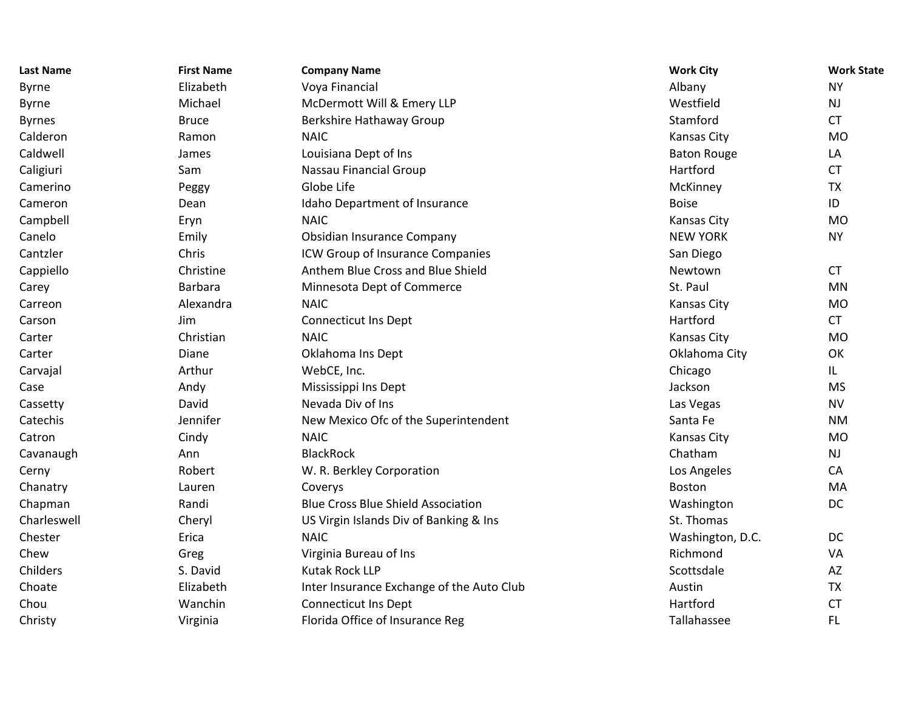| <b>Last Name</b> | <b>First Name</b> | <b>Company Name</b>                       | <b>Work City</b>   | <b>Work State</b> |
|------------------|-------------------|-------------------------------------------|--------------------|-------------------|
| <b>Byrne</b>     | Elizabeth         | Voya Financial                            | Albany             | <b>NY</b>         |
| <b>Byrne</b>     | Michael           | McDermott Will & Emery LLP                | Westfield          | <b>NJ</b>         |
| <b>Byrnes</b>    | <b>Bruce</b>      | Berkshire Hathaway Group                  | Stamford           | <b>CT</b>         |
| Calderon         | Ramon             | <b>NAIC</b>                               | Kansas City        | <b>MO</b>         |
| Caldwell         | James             | Louisiana Dept of Ins                     | <b>Baton Rouge</b> | LA                |
| Caligiuri        | Sam               | Nassau Financial Group                    | Hartford           | <b>CT</b>         |
| Camerino         | Peggy             | Globe Life                                | McKinney           | <b>TX</b>         |
| Cameron          | Dean              | Idaho Department of Insurance             | <b>Boise</b>       | ID                |
| Campbell         | Eryn              | <b>NAIC</b>                               | Kansas City        | <b>MO</b>         |
| Canelo           | Emily             | Obsidian Insurance Company                | <b>NEW YORK</b>    | <b>NY</b>         |
| Cantzler         | Chris             | ICW Group of Insurance Companies          | San Diego          |                   |
| Cappiello        | Christine         | Anthem Blue Cross and Blue Shield         | Newtown            | <b>CT</b>         |
| Carey            | <b>Barbara</b>    | Minnesota Dept of Commerce                | St. Paul           | <b>MN</b>         |
| Carreon          | Alexandra         | <b>NAIC</b>                               | Kansas City        | <b>MO</b>         |
| Carson           | Jim               | <b>Connecticut Ins Dept</b>               | Hartford           | <b>CT</b>         |
| Carter           | Christian         | <b>NAIC</b>                               | Kansas City        | <b>MO</b>         |
| Carter           | Diane             | Oklahoma Ins Dept                         | Oklahoma City      | OK                |
| Carvajal         | Arthur            | WebCE, Inc.                               | Chicago            | IL.               |
| Case             | Andy              | Mississippi Ins Dept                      | Jackson            | <b>MS</b>         |
| Cassetty         | David             | Nevada Div of Ins                         | Las Vegas          | <b>NV</b>         |
| Catechis         | Jennifer          | New Mexico Ofc of the Superintendent      | Santa Fe           | <b>NM</b>         |
| Catron           | Cindy             | <b>NAIC</b>                               | Kansas City        | <b>MO</b>         |
| Cavanaugh        | Ann               | <b>BlackRock</b>                          | Chatham            | <b>NJ</b>         |
| Cerny            | Robert            | W. R. Berkley Corporation                 | Los Angeles        | CA                |
| Chanatry         | Lauren            | Coverys                                   | Boston             | MA                |
| Chapman          | Randi             | <b>Blue Cross Blue Shield Association</b> | Washington         | DC                |
| Charleswell      | Cheryl            | US Virgin Islands Div of Banking & Ins    | St. Thomas         |                   |
| Chester          | Erica             | <b>NAIC</b>                               | Washington, D.C.   | <b>DC</b>         |
| Chew             | Greg              | Virginia Bureau of Ins                    | Richmond           | VA                |
| Childers         | S. David          | Kutak Rock LLP                            | Scottsdale         | AZ                |
| Choate           | Elizabeth         | Inter Insurance Exchange of the Auto Club | Austin             | <b>TX</b>         |
| Chou             | Wanchin           | <b>Connecticut Ins Dept</b>               | Hartford           | <b>CT</b>         |
| Christy          | Virginia          | Florida Office of Insurance Reg           | Tallahassee        | FL.               |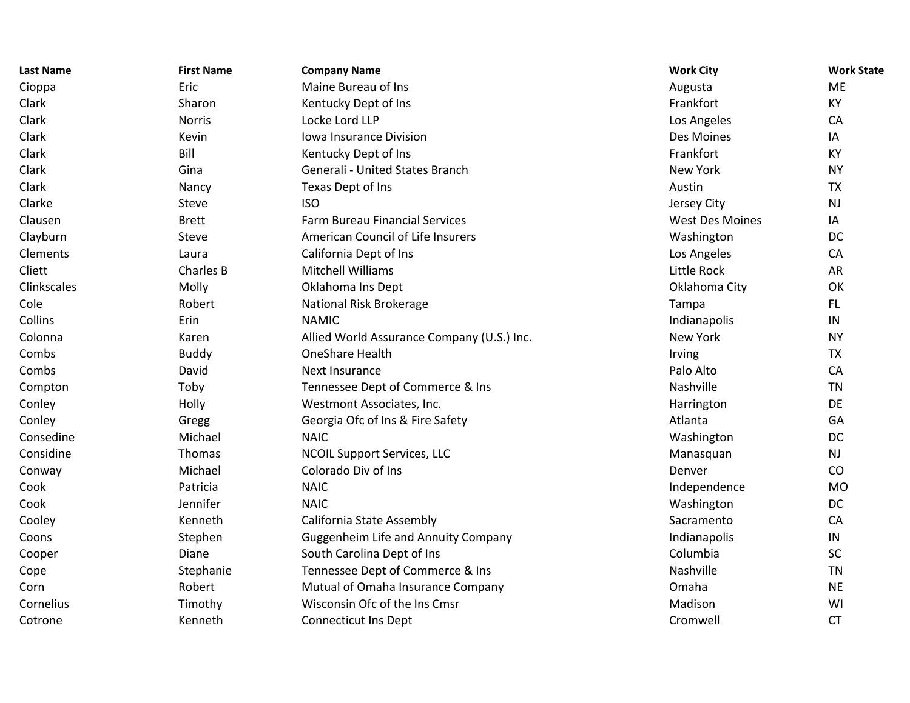| <b>Last Name</b> | <b>First Name</b> | <b>Company Name</b>                        | <b>Work City</b>       | <b>Work State</b> |
|------------------|-------------------|--------------------------------------------|------------------------|-------------------|
| Cioppa           | Eric              | Maine Bureau of Ins                        | Augusta                | <b>ME</b>         |
| Clark            | Sharon            | Kentucky Dept of Ins                       | Frankfort              | KY                |
| Clark            | <b>Norris</b>     | Locke Lord LLP                             | Los Angeles            | CA                |
| Clark            | Kevin             | Iowa Insurance Division                    | Des Moines             | IA                |
| Clark            | Bill              | Kentucky Dept of Ins                       | Frankfort              | KY                |
| Clark            | Gina              | Generali - United States Branch            | New York               | <b>NY</b>         |
| Clark            | Nancy             | Texas Dept of Ins                          | Austin                 | <b>TX</b>         |
| Clarke           | Steve             | <b>ISO</b>                                 | Jersey City            | <b>NJ</b>         |
| Clausen          | <b>Brett</b>      | <b>Farm Bureau Financial Services</b>      | <b>West Des Moines</b> | IA                |
| Clayburn         | Steve             | American Council of Life Insurers          | Washington             | DC                |
| Clements         | Laura             | California Dept of Ins                     | Los Angeles            | CA                |
| Cliett           | Charles B         | <b>Mitchell Williams</b>                   | Little Rock            | <b>AR</b>         |
| Clinkscales      | Molly             | Oklahoma Ins Dept                          | Oklahoma City          | OK                |
| Cole             | Robert            | National Risk Brokerage                    | Tampa                  | FL.               |
| Collins          | Erin              | <b>NAMIC</b>                               | Indianapolis           | IN                |
| Colonna          | Karen             | Allied World Assurance Company (U.S.) Inc. | New York               | <b>NY</b>         |
| Combs            | <b>Buddy</b>      | OneShare Health                            | Irving                 | <b>TX</b>         |
| Combs            | David             | Next Insurance                             | Palo Alto              | CA                |
| Compton          | Toby              | Tennessee Dept of Commerce & Ins           | Nashville              | <b>TN</b>         |
| Conley           | Holly             | Westmont Associates, Inc.                  | Harrington             | DE                |
| Conley           | Gregg             | Georgia Ofc of Ins & Fire Safety           | Atlanta                | GA                |
| Consedine        | Michael           | <b>NAIC</b>                                | Washington             | <b>DC</b>         |
| Considine        | Thomas            | <b>NCOIL Support Services, LLC</b>         | Manasquan              | <b>NJ</b>         |
| Conway           | Michael           | Colorado Div of Ins                        | Denver                 | CO                |
| Cook             | Patricia          | <b>NAIC</b>                                | Independence           | <b>MO</b>         |
| Cook             | Jennifer          | <b>NAIC</b>                                | Washington             | DC                |
| Cooley           | Kenneth           | California State Assembly                  | Sacramento             | CA                |
| Coons            | Stephen           | <b>Guggenheim Life and Annuity Company</b> | Indianapolis           | $\sf IN$          |
| Cooper           | Diane             | South Carolina Dept of Ins                 | Columbia               | SC                |
| Cope             | Stephanie         | Tennessee Dept of Commerce & Ins           | Nashville              | <b>TN</b>         |
| Corn             | Robert            | Mutual of Omaha Insurance Company          | Omaha                  | <b>NE</b>         |
| Cornelius        | Timothy           | Wisconsin Ofc of the Ins Cmsr              | Madison                | WI                |
| Cotrone          | Kenneth           | <b>Connecticut Ins Dept</b>                | Cromwell               | <b>CT</b>         |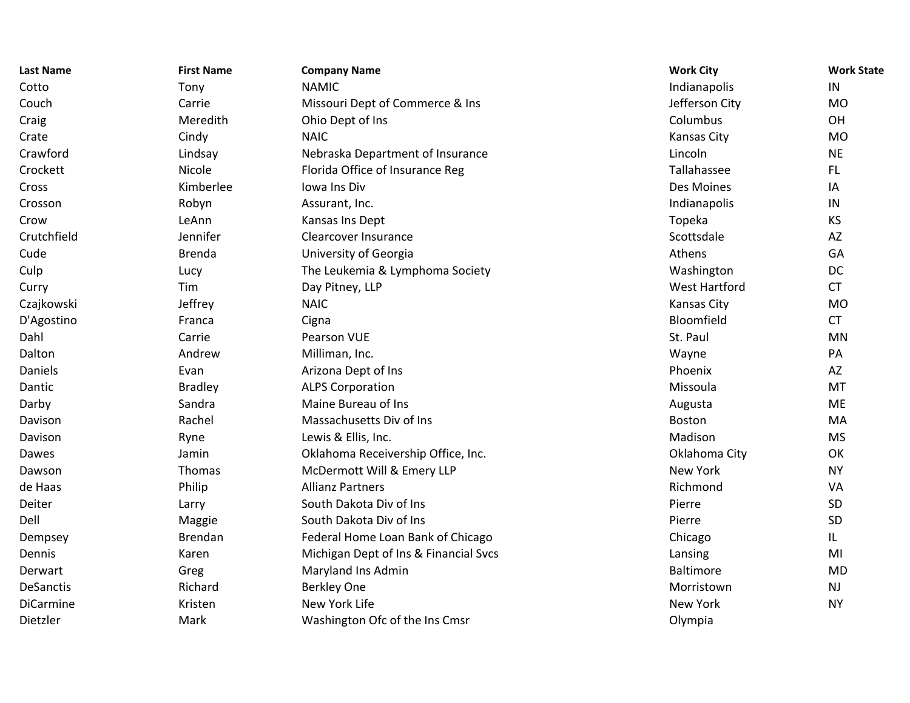| <b>Last Name</b> | <b>First Name</b> | <b>Company Name</b>                   | <b>Work City</b>     | <b>Work State</b> |
|------------------|-------------------|---------------------------------------|----------------------|-------------------|
| Cotto            | Tony              | <b>NAMIC</b>                          | Indianapolis         | IN                |
| Couch            | Carrie            | Missouri Dept of Commerce & Ins       | Jefferson City       | <b>MO</b>         |
| Craig            | Meredith          | Ohio Dept of Ins                      | Columbus             | OH                |
| Crate            | Cindy             | <b>NAIC</b>                           | Kansas City          | <b>MO</b>         |
| Crawford         | Lindsay           | Nebraska Department of Insurance      | Lincoln              | <b>NE</b>         |
| Crockett         | Nicole            | Florida Office of Insurance Reg       | Tallahassee          | FL.               |
| Cross            | Kimberlee         | Iowa Ins Div                          | Des Moines           | IA                |
| Crosson          | Robyn             | Assurant, Inc.                        | Indianapolis         | IN                |
| Crow             | LeAnn             | Kansas Ins Dept                       | Topeka               | KS                |
| Crutchfield      | Jennifer          | Clearcover Insurance                  | Scottsdale           | AZ                |
| Cude             | <b>Brenda</b>     | University of Georgia                 | Athens               | GA                |
| Culp             | Lucy              | The Leukemia & Lymphoma Society       | Washington           | DC                |
| Curry            | Tim               | Day Pitney, LLP                       | <b>West Hartford</b> | <b>CT</b>         |
| Czajkowski       | Jeffrey           | <b>NAIC</b>                           | Kansas City          | <b>MO</b>         |
| D'Agostino       | Franca            | Cigna                                 | Bloomfield           | <b>CT</b>         |
| Dahl             | Carrie            | Pearson VUE                           | St. Paul             | <b>MN</b>         |
| Dalton           | Andrew            | Milliman, Inc.                        | Wayne                | PA                |
| Daniels          | Evan              | Arizona Dept of Ins                   | Phoenix              | AZ                |
| Dantic           | <b>Bradley</b>    | <b>ALPS Corporation</b>               | Missoula             | <b>MT</b>         |
| Darby            | Sandra            | Maine Bureau of Ins                   | Augusta              | <b>ME</b>         |
| Davison          | Rachel            | Massachusetts Div of Ins              | Boston               | MA                |
| Davison          | Ryne              | Lewis & Ellis, Inc.                   | Madison              | <b>MS</b>         |
| Dawes            | Jamin             | Oklahoma Receivership Office, Inc.    | Oklahoma City        | OK                |
| Dawson           | Thomas            | McDermott Will & Emery LLP            | <b>New York</b>      | <b>NY</b>         |
| de Haas          | Philip            | <b>Allianz Partners</b>               | Richmond             | VA                |
| Deiter           | Larry             | South Dakota Div of Ins               | Pierre               | SD                |
| Dell             | Maggie            | South Dakota Div of Ins               | Pierre               | SD                |
| Dempsey          | Brendan           | Federal Home Loan Bank of Chicago     | Chicago              | IL                |
| Dennis           | Karen             | Michigan Dept of Ins & Financial Svcs | Lansing              | MI                |
| Derwart          | Greg              | Maryland Ins Admin                    | <b>Baltimore</b>     | <b>MD</b>         |
| <b>DeSanctis</b> | Richard           | <b>Berkley One</b>                    | Morristown           | <b>NJ</b>         |
| <b>DiCarmine</b> | Kristen           | New York Life                         | <b>New York</b>      | <b>NY</b>         |
| Dietzler         | Mark              | Washington Ofc of the Ins Cmsr        | Olympia              |                   |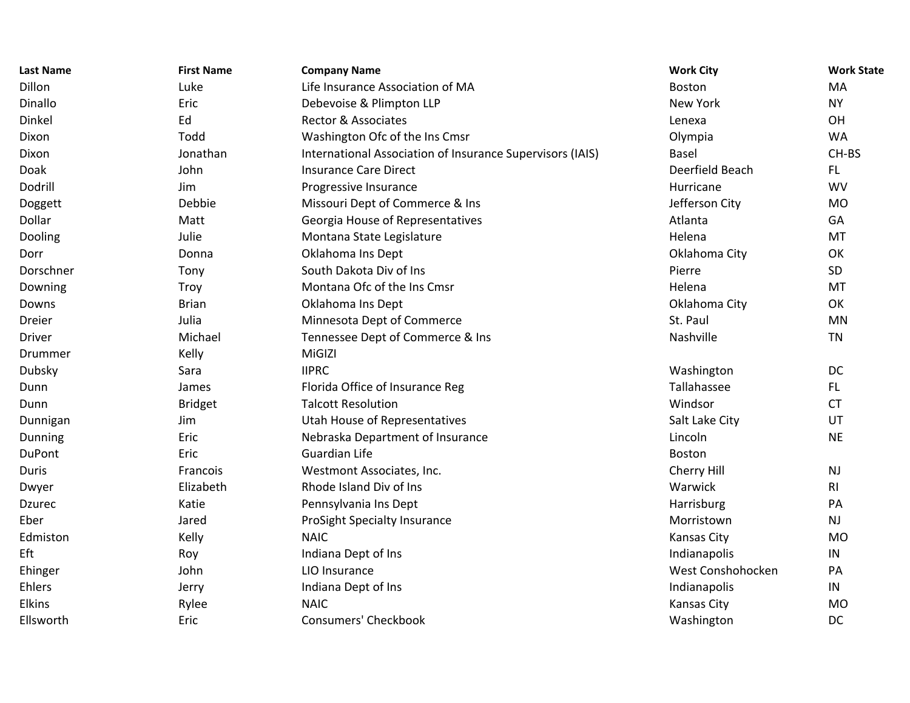| <b>Last Name</b> | <b>First Name</b> | <b>Company Name</b>                                       | <b>Work City</b>  | <b>Work State</b> |
|------------------|-------------------|-----------------------------------------------------------|-------------------|-------------------|
| Dillon           | Luke              | Life Insurance Association of MA                          | Boston            | MA                |
| Dinallo          | Eric              | Debevoise & Plimpton LLP                                  | <b>New York</b>   | <b>NY</b>         |
| Dinkel           | Ed                | <b>Rector &amp; Associates</b>                            | Lenexa            | OH                |
| Dixon            | Todd              | Washington Ofc of the Ins Cmsr                            | Olympia           | <b>WA</b>         |
| Dixon            | Jonathan          | International Association of Insurance Supervisors (IAIS) | <b>Basel</b>      | CH-BS             |
| Doak             | John              | <b>Insurance Care Direct</b>                              | Deerfield Beach   | FL.               |
| Dodrill          | Jim               | Progressive Insurance                                     | Hurricane         | <b>WV</b>         |
| Doggett          | Debbie            | Missouri Dept of Commerce & Ins                           | Jefferson City    | <b>MO</b>         |
| Dollar           | Matt              | Georgia House of Representatives                          | Atlanta           | GA                |
| Dooling          | Julie             | Montana State Legislature                                 | Helena            | MT                |
| Dorr             | Donna             | Oklahoma Ins Dept                                         | Oklahoma City     | OK                |
| Dorschner        | Tony              | South Dakota Div of Ins                                   | Pierre            | SD                |
| Downing          | <b>Troy</b>       | Montana Ofc of the Ins Cmsr                               | Helena            | MT                |
| Downs            | <b>Brian</b>      | Oklahoma Ins Dept                                         | Oklahoma City     | OK                |
| Dreier           | Julia             | Minnesota Dept of Commerce                                | St. Paul          | <b>MN</b>         |
| <b>Driver</b>    | Michael           | Tennessee Dept of Commerce & Ins                          | Nashville         | <b>TN</b>         |
| Drummer          | Kelly             | MiGIZI                                                    |                   |                   |
| Dubsky           | Sara              | <b>IIPRC</b>                                              | Washington        | DC                |
| Dunn             | James             | Florida Office of Insurance Reg                           | Tallahassee       | FL.               |
| Dunn             | <b>Bridget</b>    | <b>Talcott Resolution</b>                                 | Windsor           | <b>CT</b>         |
| Dunnigan         | Jim               | <b>Utah House of Representatives</b>                      | Salt Lake City    | UT                |
| Dunning          | Eric              | Nebraska Department of Insurance                          | Lincoln           | <b>NE</b>         |
| DuPont           | Eric              | <b>Guardian Life</b>                                      | Boston            |                   |
| Duris            | Francois          | Westmont Associates, Inc.                                 | Cherry Hill       | <b>NJ</b>         |
| Dwyer            | Elizabeth         | Rhode Island Div of Ins                                   | Warwick           | R <sub>l</sub>    |
| Dzurec           | Katie             | Pennsylvania Ins Dept                                     | Harrisburg        | PA                |
| Eber             | Jared             | ProSight Specialty Insurance                              | Morristown        | <b>NJ</b>         |
| Edmiston         | Kelly             | <b>NAIC</b>                                               | Kansas City       | <b>MO</b>         |
| Eft              | Roy               | Indiana Dept of Ins                                       | Indianapolis      | IN                |
| Ehinger          | John              | LIO Insurance                                             | West Conshohocken | PA                |
| Ehlers           | Jerry             | Indiana Dept of Ins                                       | Indianapolis      | IN                |
| <b>Elkins</b>    | Rylee             | <b>NAIC</b>                                               | Kansas City       | <b>MO</b>         |
| Ellsworth        | Eric              | <b>Consumers' Checkbook</b>                               | Washington        | DC                |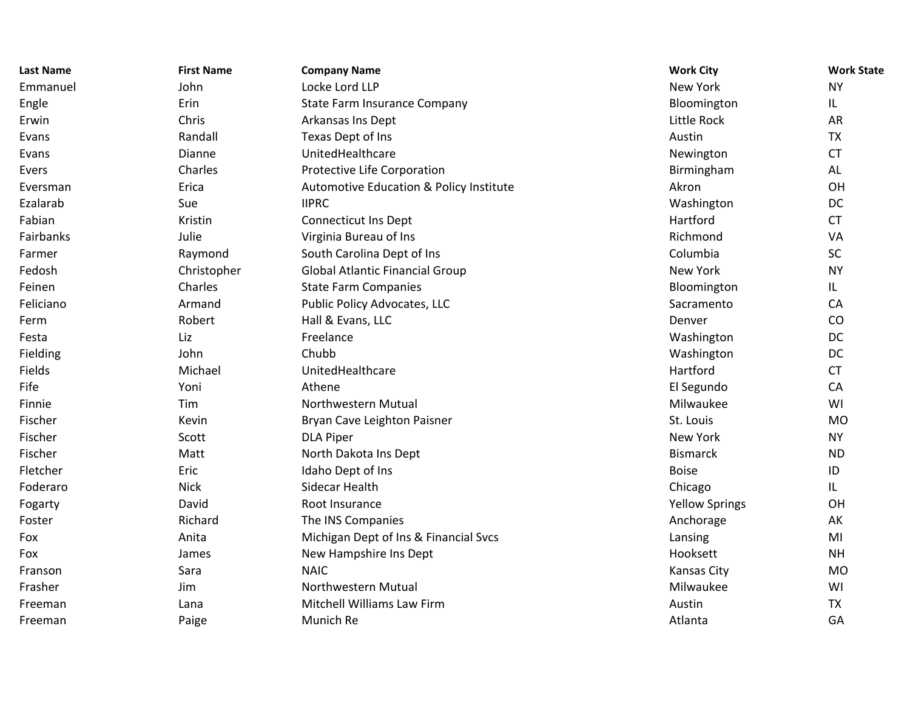| <b>Last Name</b> | <b>First Name</b> | <b>Company Name</b>                     | <b>Work City</b>      | <b>Work State</b> |
|------------------|-------------------|-----------------------------------------|-----------------------|-------------------|
| Emmanuel         | John              | Locke Lord LLP                          | <b>New York</b>       | <b>NY</b>         |
| Engle            | Erin              | <b>State Farm Insurance Company</b>     | Bloomington           | IL                |
| Erwin            | Chris             | Arkansas Ins Dept                       | Little Rock           | AR                |
| Evans            | Randall           | Texas Dept of Ins                       | Austin                | <b>TX</b>         |
| Evans            | Dianne            | UnitedHealthcare                        | Newington             | <b>CT</b>         |
| Evers            | Charles           | Protective Life Corporation             | Birmingham            | AL                |
| Eversman         | Erica             | Automotive Education & Policy Institute | Akron                 | OH                |
| Ezalarab         | Sue               | <b>IIPRC</b>                            | Washington            | DC                |
| Fabian           | Kristin           | <b>Connecticut Ins Dept</b>             | Hartford              | <b>CT</b>         |
| Fairbanks        | Julie             | Virginia Bureau of Ins                  | Richmond              | VA                |
| Farmer           | Raymond           | South Carolina Dept of Ins              | Columbia              | SC                |
| Fedosh           | Christopher       | <b>Global Atlantic Financial Group</b>  | <b>New York</b>       | <b>NY</b>         |
| Feinen           | Charles           | <b>State Farm Companies</b>             | Bloomington           | IL                |
| Feliciano        | Armand            | Public Policy Advocates, LLC            | Sacramento            | CA                |
| Ferm             | Robert            | Hall & Evans, LLC                       | Denver                | CO                |
| Festa            | Liz               | Freelance                               | Washington            | DC                |
| Fielding         | John              | Chubb                                   | Washington            | DC                |
| Fields           | Michael           | UnitedHealthcare                        | Hartford              | <b>CT</b>         |
| Fife             | Yoni              | Athene                                  | El Segundo            | CA                |
| Finnie           | Tim               | Northwestern Mutual                     | Milwaukee             | WI                |
| Fischer          | Kevin             | Bryan Cave Leighton Paisner             | St. Louis             | <b>MO</b>         |
| Fischer          | Scott             | <b>DLA Piper</b>                        | New York              | <b>NY</b>         |
| Fischer          | Matt              | North Dakota Ins Dept                   | <b>Bismarck</b>       | <b>ND</b>         |
| Fletcher         | Eric              | Idaho Dept of Ins                       | <b>Boise</b>          | ID                |
| Foderaro         | <b>Nick</b>       | Sidecar Health                          | Chicago               | IL                |
| Fogarty          | David             | Root Insurance                          | <b>Yellow Springs</b> | OH                |
| Foster           | Richard           | The INS Companies                       | Anchorage             | AK                |
| Fox              | Anita             | Michigan Dept of Ins & Financial Svcs   | Lansing               | MI                |
| Fox              | James             | New Hampshire Ins Dept                  | Hooksett              | <b>NH</b>         |
| Franson          | Sara              | <b>NAIC</b>                             | Kansas City           | <b>MO</b>         |
| Frasher          | Jim               | Northwestern Mutual                     | Milwaukee             | WI                |
| Freeman          | Lana              | Mitchell Williams Law Firm              | Austin                | <b>TX</b>         |
| Freeman          | Paige             | Munich Re                               | Atlanta               | GA                |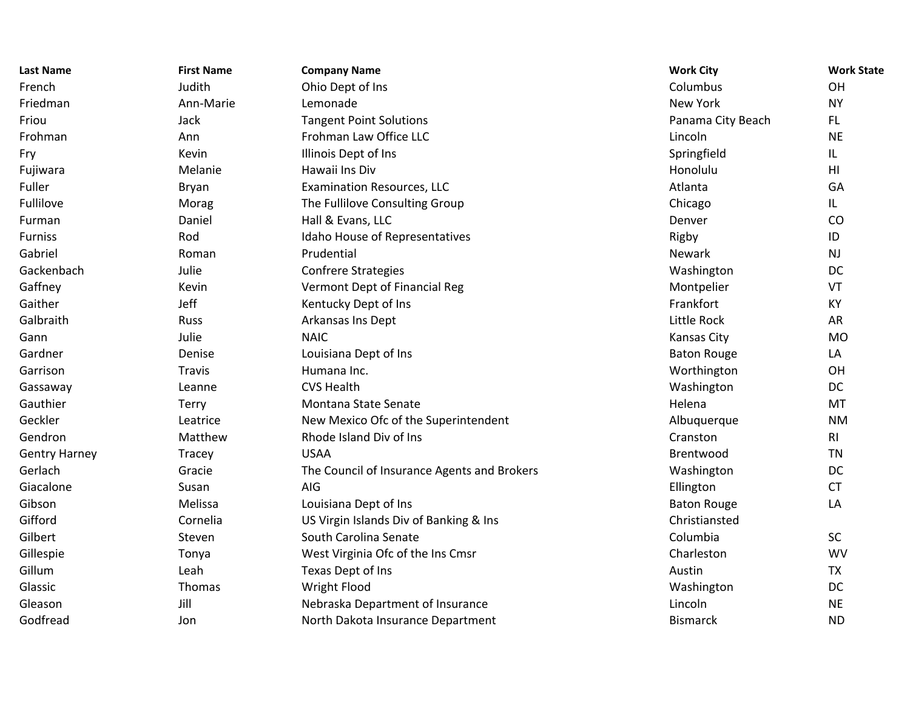| Last Name            | <b>First Name</b> | <b>Company Name</b>                         | <b>Work City</b>   | <b>Work State</b> |
|----------------------|-------------------|---------------------------------------------|--------------------|-------------------|
| French               | Judith            | Ohio Dept of Ins                            | Columbus           | OH                |
| Friedman             | Ann-Marie         | Lemonade                                    | <b>New York</b>    | <b>NY</b>         |
| Friou                | Jack              | <b>Tangent Point Solutions</b>              | Panama City Beach  | FL.               |
| Frohman              | Ann               | Frohman Law Office LLC                      | Lincoln            | <b>NE</b>         |
| Fry                  | Kevin             | Illinois Dept of Ins                        | Springfield        | IL                |
| Fujiwara             | Melanie           | Hawaii Ins Div                              | Honolulu           | H <sub>l</sub>    |
| Fuller               | Bryan             | <b>Examination Resources, LLC</b>           | Atlanta            | GA                |
| Fullilove            | Morag             | The Fullilove Consulting Group              | Chicago            | IL                |
| Furman               | Daniel            | Hall & Evans, LLC                           | Denver             | CO                |
| Furniss              | Rod               | Idaho House of Representatives              | Rigby              | ID                |
| Gabriel              | Roman             | Prudential                                  | <b>Newark</b>      | NJ                |
| Gackenbach           | Julie             | <b>Confrere Strategies</b>                  | Washington         | DC                |
| Gaffney              | Kevin             | Vermont Dept of Financial Reg               | Montpelier         | VT                |
| Gaither              | Jeff              | Kentucky Dept of Ins                        | Frankfort          | KY                |
| Galbraith            | Russ              | Arkansas Ins Dept                           | Little Rock        | <b>AR</b>         |
| Gann                 | Julie             | <b>NAIC</b>                                 | Kansas City        | <b>MO</b>         |
| Gardner              | Denise            | Louisiana Dept of Ins                       | <b>Baton Rouge</b> | LA                |
| Garrison             | <b>Travis</b>     | Humana Inc.                                 | Worthington        | OH                |
| Gassaway             | Leanne            | <b>CVS Health</b>                           | Washington         | <b>DC</b>         |
| Gauthier             | <b>Terry</b>      | Montana State Senate                        | Helena             | MT                |
| Geckler              | Leatrice          | New Mexico Ofc of the Superintendent        | Albuquerque        | <b>NM</b>         |
| Gendron              | Matthew           | Rhode Island Div of Ins                     | Cranston           | R <sub>l</sub>    |
| <b>Gentry Harney</b> | Tracey            | <b>USAA</b>                                 | Brentwood          | <b>TN</b>         |
| Gerlach              | Gracie            | The Council of Insurance Agents and Brokers | Washington         | DC                |
| Giacalone            | Susan             | AIG                                         | Ellington          | <b>CT</b>         |
| Gibson               | Melissa           | Louisiana Dept of Ins                       | <b>Baton Rouge</b> | LA                |
| Gifford              | Cornelia          | US Virgin Islands Div of Banking & Ins      | Christiansted      |                   |
| Gilbert              | Steven            | South Carolina Senate                       | Columbia           | SC                |
| Gillespie            | Tonya             | West Virginia Ofc of the Ins Cmsr           | Charleston         | <b>WV</b>         |
| Gillum               | Leah              | Texas Dept of Ins                           | Austin             | <b>TX</b>         |
| Glassic              | Thomas            | Wright Flood                                | Washington         | DC                |
| Gleason              | Jill              | Nebraska Department of Insurance            | Lincoln            | <b>NE</b>         |
| Godfread             | Jon               | North Dakota Insurance Department           | <b>Bismarck</b>    | <b>ND</b>         |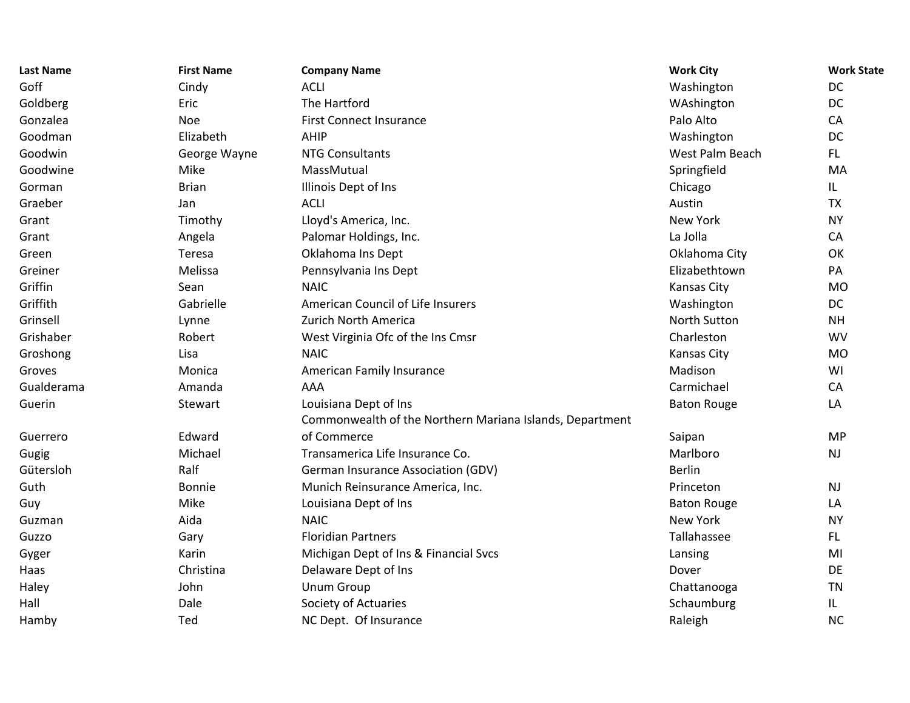| <b>Last Name</b> | <b>First Name</b> | <b>Company Name</b>                                      | <b>Work City</b>    | <b>Work State</b> |
|------------------|-------------------|----------------------------------------------------------|---------------------|-------------------|
| Goff             | Cindy             | <b>ACLI</b>                                              | Washington          | <b>DC</b>         |
| Goldberg         | Eric              | The Hartford                                             | WAshington          | DC                |
| Gonzalea         | <b>Noe</b>        | <b>First Connect Insurance</b>                           | Palo Alto           | CA                |
| Goodman          | Elizabeth         | AHIP                                                     | Washington          | DC                |
| Goodwin          | George Wayne      | <b>NTG Consultants</b>                                   | West Palm Beach     | FL.               |
| Goodwine         | Mike              | MassMutual                                               | Springfield         | MA                |
| Gorman           | <b>Brian</b>      | Illinois Dept of Ins                                     | Chicago             | IL.               |
| Graeber          | Jan               | <b>ACLI</b>                                              | Austin              | <b>TX</b>         |
| Grant            | Timothy           | Lloyd's America, Inc.                                    | New York            | <b>NY</b>         |
| Grant            | Angela            | Palomar Holdings, Inc.                                   | La Jolla            | CA                |
| Green            | Teresa            | Oklahoma Ins Dept                                        | Oklahoma City       | OK                |
| Greiner          | Melissa           | Pennsylvania Ins Dept                                    | Elizabethtown       | PA                |
| Griffin          | Sean              | <b>NAIC</b>                                              | Kansas City         | <b>MO</b>         |
| Griffith         | Gabrielle         | American Council of Life Insurers                        | Washington          | DC                |
| Grinsell         | Lynne             | Zurich North America                                     | <b>North Sutton</b> | <b>NH</b>         |
| Grishaber        | Robert            | West Virginia Ofc of the Ins Cmsr                        | Charleston          | <b>WV</b>         |
| Groshong         | Lisa              | <b>NAIC</b>                                              | Kansas City         | <b>MO</b>         |
| Groves           | Monica            | American Family Insurance                                | Madison             | WI                |
| Gualderama       | Amanda            | AAA                                                      | Carmichael          | CA                |
| Guerin           | Stewart           | Louisiana Dept of Ins                                    | <b>Baton Rouge</b>  | LA                |
|                  |                   | Commonwealth of the Northern Mariana Islands, Department |                     |                   |
| Guerrero         | Edward            | of Commerce                                              | Saipan              | <b>MP</b>         |
| Gugig            | Michael           | Transamerica Life Insurance Co.                          | Marlboro            | <b>NJ</b>         |
| Gütersloh        | Ralf              | <b>German Insurance Association (GDV)</b>                | <b>Berlin</b>       |                   |
| Guth             | <b>Bonnie</b>     | Munich Reinsurance America, Inc.                         | Princeton           | <b>NJ</b>         |
| Guy              | Mike              | Louisiana Dept of Ins                                    | <b>Baton Rouge</b>  | LA                |
| Guzman           | Aida              | <b>NAIC</b>                                              | <b>New York</b>     | <b>NY</b>         |
| Guzzo            | Gary              | <b>Floridian Partners</b>                                | Tallahassee         | FL.               |
| Gyger            | Karin             | Michigan Dept of Ins & Financial Svcs                    | Lansing             | MI                |
| Haas             | Christina         | Delaware Dept of Ins                                     | Dover               | <b>DE</b>         |
| Haley            | John              | <b>Unum Group</b>                                        | Chattanooga         | <b>TN</b>         |
| Hall             | Dale              | Society of Actuaries                                     | Schaumburg          | IL.               |
| Hamby            | Ted               | NC Dept. Of Insurance                                    | Raleigh             | <b>NC</b>         |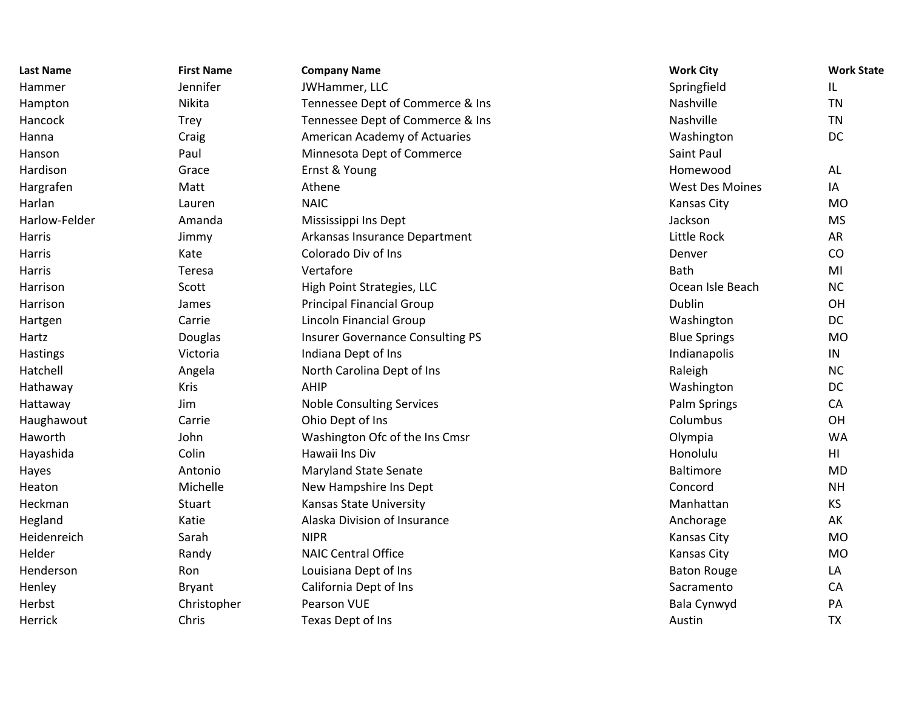| <b>Last Name</b> | <b>First Name</b> | <b>Company Name</b>                     | <b>Work City</b>       | <b>Work State</b> |
|------------------|-------------------|-----------------------------------------|------------------------|-------------------|
| Hammer           | Jennifer          | JWHammer, LLC                           | Springfield            | IL                |
| Hampton          | Nikita            | Tennessee Dept of Commerce & Ins        | Nashville              | <b>TN</b>         |
| Hancock          | <b>Trey</b>       | Tennessee Dept of Commerce & Ins        | Nashville              | <b>TN</b>         |
| Hanna            | Craig             | American Academy of Actuaries           | Washington             | DC                |
| Hanson           | Paul              | Minnesota Dept of Commerce              | Saint Paul             |                   |
| Hardison         | Grace             | Ernst & Young                           | Homewood               | <b>AL</b>         |
| Hargrafen        | Matt              | Athene                                  | <b>West Des Moines</b> | IA                |
| Harlan           | Lauren            | <b>NAIC</b>                             | Kansas City            | <b>MO</b>         |
| Harlow-Felder    | Amanda            | Mississippi Ins Dept                    | Jackson                | <b>MS</b>         |
| Harris           | Jimmy             | Arkansas Insurance Department           | Little Rock            | AR                |
| Harris           | Kate              | Colorado Div of Ins                     | Denver                 | CO                |
| Harris           | Teresa            | Vertafore                               | <b>Bath</b>            | MI                |
| Harrison         | Scott             | High Point Strategies, LLC              | Ocean Isle Beach       | <b>NC</b>         |
| Harrison         | James             | <b>Principal Financial Group</b>        | Dublin                 | OH                |
| Hartgen          | Carrie            | Lincoln Financial Group                 | Washington             | DC                |
| Hartz            | Douglas           | <b>Insurer Governance Consulting PS</b> | <b>Blue Springs</b>    | <b>MO</b>         |
| Hastings         | Victoria          | Indiana Dept of Ins                     | Indianapolis           | IN                |
| Hatchell         | Angela            | North Carolina Dept of Ins              | Raleigh                | <b>NC</b>         |
| Hathaway         | <b>Kris</b>       | <b>AHIP</b>                             | Washington             | DC                |
| Hattaway         | Jim               | <b>Noble Consulting Services</b>        | Palm Springs           | CA                |
| Haughawout       | Carrie            | Ohio Dept of Ins                        | Columbus               | OH                |
| Haworth          | John              | Washington Ofc of the Ins Cmsr          | Olympia                | <b>WA</b>         |
| Hayashida        | Colin             | Hawaii Ins Div                          | Honolulu               | HI.               |
| Hayes            | Antonio           | <b>Maryland State Senate</b>            | <b>Baltimore</b>       | <b>MD</b>         |
| Heaton           | Michelle          | New Hampshire Ins Dept                  | Concord                | <b>NH</b>         |
| Heckman          | Stuart            | Kansas State University                 | Manhattan              | KS                |
| Hegland          | Katie             | Alaska Division of Insurance            | Anchorage              | AK                |
| Heidenreich      | Sarah             | <b>NIPR</b>                             | Kansas City            | <b>MO</b>         |
| Helder           | Randy             | <b>NAIC Central Office</b>              | Kansas City            | <b>MO</b>         |
| Henderson        | Ron               | Louisiana Dept of Ins                   | <b>Baton Rouge</b>     | LA                |
| Henley           | Bryant            | California Dept of Ins                  | Sacramento             | CA                |
| Herbst           | Christopher       | Pearson VUE                             | Bala Cynwyd            | PA                |
| Herrick          | Chris             | Texas Dept of Ins                       | Austin                 | <b>TX</b>         |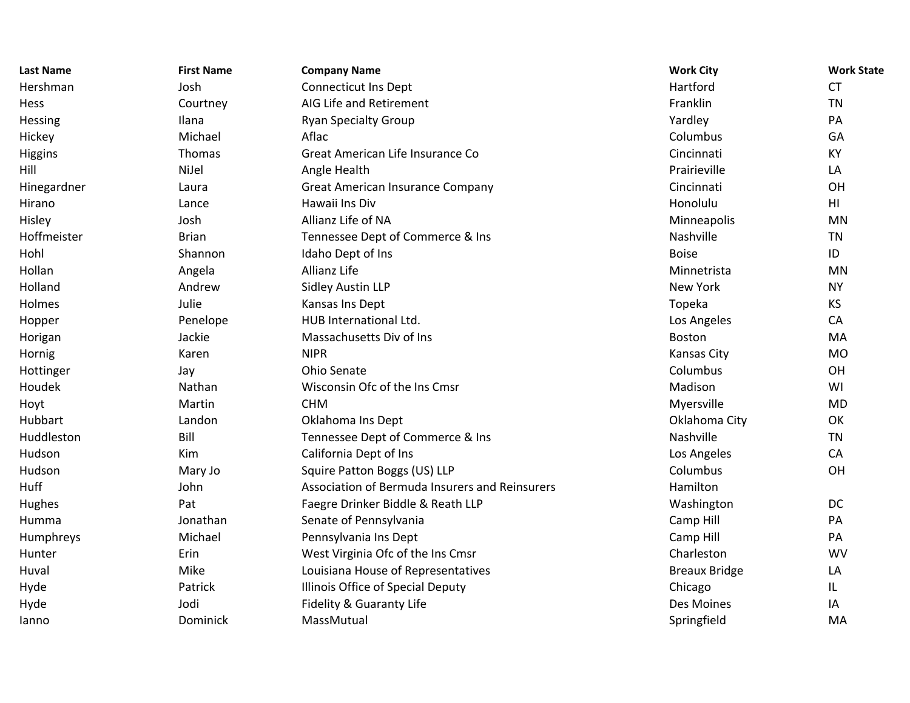| <b>Last Name</b> | <b>First Name</b> | <b>Company Name</b>                            | <b>Work City</b>     | <b>Work State</b> |
|------------------|-------------------|------------------------------------------------|----------------------|-------------------|
| Hershman         | Josh              | <b>Connecticut Ins Dept</b>                    | Hartford             | <b>CT</b>         |
| Hess             | Courtney          | AIG Life and Retirement                        | Franklin             | <b>TN</b>         |
| Hessing          | Ilana             | <b>Ryan Specialty Group</b>                    | Yardley              | PA                |
| Hickey           | Michael           | Aflac                                          | Columbus             | GA                |
| Higgins          | Thomas            | Great American Life Insurance Co               | Cincinnati           | <b>KY</b>         |
| Hill             | NiJel             | Angle Health                                   | Prairieville         | LA                |
| Hinegardner      | Laura             | <b>Great American Insurance Company</b>        | Cincinnati           | OH                |
| Hirano           | Lance             | Hawaii Ins Div                                 | Honolulu             | HI                |
| Hisley           | Josh              | Allianz Life of NA                             | Minneapolis          | MN                |
| Hoffmeister      | <b>Brian</b>      | Tennessee Dept of Commerce & Ins               | Nashville            | <b>TN</b>         |
| Hohl             | Shannon           | Idaho Dept of Ins                              | <b>Boise</b>         | ID                |
| Hollan           | Angela            | Allianz Life                                   | Minnetrista          | <b>MN</b>         |
| Holland          | Andrew            | <b>Sidley Austin LLP</b>                       | New York             | <b>NY</b>         |
| Holmes           | Julie             | Kansas Ins Dept                                | Topeka               | <b>KS</b>         |
| Hopper           | Penelope          | HUB International Ltd.                         | Los Angeles          | CA                |
| Horigan          | Jackie            | Massachusetts Div of Ins                       | Boston               | MA                |
| Hornig           | Karen             | <b>NIPR</b>                                    | Kansas City          | <b>MO</b>         |
| Hottinger        | Jay               | Ohio Senate                                    | Columbus             | OH                |
| Houdek           | Nathan            | Wisconsin Ofc of the Ins Cmsr                  | Madison              | WI                |
| Hoyt             | Martin            | <b>CHM</b>                                     | Myersville           | <b>MD</b>         |
| Hubbart          | Landon            | Oklahoma Ins Dept                              | Oklahoma City        | OK                |
| Huddleston       | Bill              | Tennessee Dept of Commerce & Ins               | Nashville            | <b>TN</b>         |
| Hudson           | Kim               | California Dept of Ins                         | Los Angeles          | CA                |
| Hudson           | Mary Jo           | Squire Patton Boggs (US) LLP                   | Columbus             | OH                |
| Huff             | John              | Association of Bermuda Insurers and Reinsurers | Hamilton             |                   |
| Hughes           | Pat               | Faegre Drinker Biddle & Reath LLP              | Washington           | DC                |
| Humma            | Jonathan          | Senate of Pennsylvania                         | Camp Hill            | PA                |
| Humphreys        | Michael           | Pennsylvania Ins Dept                          | Camp Hill            | PA                |
| Hunter           | Erin              | West Virginia Ofc of the Ins Cmsr              | Charleston           | <b>WV</b>         |
| Huval            | Mike              | Louisiana House of Representatives             | <b>Breaux Bridge</b> | LA                |
| Hyde             | Patrick           | Illinois Office of Special Deputy              | Chicago              | IL.               |
| Hyde             | Jodi              | Fidelity & Guaranty Life                       | Des Moines           | IA                |
| lanno            | Dominick          | MassMutual                                     | Springfield          | MA                |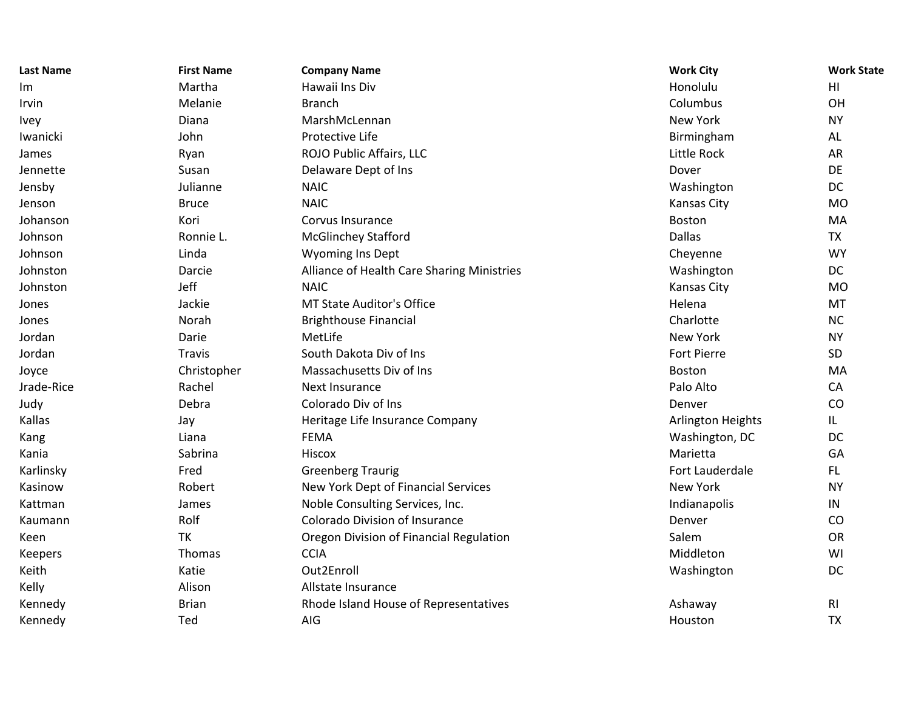| <b>Last Name</b> | <b>First Name</b> | <b>Company Name</b>                        | <b>Work City</b>  | <b>Work State</b> |
|------------------|-------------------|--------------------------------------------|-------------------|-------------------|
| Im               | Martha            | Hawaii Ins Div                             | Honolulu          | HI                |
| Irvin            | Melanie           | <b>Branch</b>                              | Columbus          | OH                |
| <b>Ivey</b>      | Diana             | MarshMcLennan                              | New York          | <b>NY</b>         |
| Iwanicki         | John              | Protective Life                            | Birmingham        | AL                |
| James            | Ryan              | ROJO Public Affairs, LLC                   | Little Rock       | AR                |
| Jennette         | Susan             | Delaware Dept of Ins                       | Dover             | DE                |
| Jensby           | Julianne          | <b>NAIC</b>                                | Washington        | DC                |
| Jenson           | <b>Bruce</b>      | <b>NAIC</b>                                | Kansas City       | <b>MO</b>         |
| Johanson         | Kori              | Corvus Insurance                           | Boston            | MA                |
| Johnson          | Ronnie L.         | <b>McGlinchey Stafford</b>                 | Dallas            | <b>TX</b>         |
| Johnson          | Linda             | <b>Wyoming Ins Dept</b>                    | Cheyenne          | <b>WY</b>         |
| Johnston         | Darcie            | Alliance of Health Care Sharing Ministries | Washington        | DC                |
| Johnston         | Jeff              | <b>NAIC</b>                                | Kansas City       | <b>MO</b>         |
| Jones            | Jackie            | MT State Auditor's Office                  | Helena            | MT                |
| Jones            | Norah             | <b>Brighthouse Financial</b>               | Charlotte         | NC                |
| Jordan           | Darie             | MetLife                                    | <b>New York</b>   | <b>NY</b>         |
| Jordan           | <b>Travis</b>     | South Dakota Div of Ins                    | Fort Pierre       | SD                |
| Joyce            | Christopher       | Massachusetts Div of Ins                   | Boston            | MA                |
| Jrade-Rice       | Rachel            | Next Insurance                             | Palo Alto         | CA                |
| Judy             | Debra             | Colorado Div of Ins                        | Denver            | CO                |
| Kallas           | Jay               | Heritage Life Insurance Company            | Arlington Heights | IL.               |
| Kang             | Liana             | <b>FEMA</b>                                | Washington, DC    | DC                |
| Kania            | Sabrina           | Hiscox                                     | Marietta          | GA                |
| Karlinsky        | Fred              | <b>Greenberg Traurig</b>                   | Fort Lauderdale   | FL.               |
| Kasinow          | Robert            | New York Dept of Financial Services        | New York          | <b>NY</b>         |
| Kattman          | James             | Noble Consulting Services, Inc.            | Indianapolis      | IN                |
| Kaumann          | Rolf              | <b>Colorado Division of Insurance</b>      | Denver            | CO                |
| Keen             | <b>TK</b>         | Oregon Division of Financial Regulation    | Salem             | OR                |
| <b>Keepers</b>   | Thomas            | <b>CCIA</b>                                | Middleton         | WI                |
| Keith            | Katie             | Out2Enroll                                 | Washington        | DC                |
| Kelly            | Alison            | Allstate Insurance                         |                   |                   |
| Kennedy          | <b>Brian</b>      | Rhode Island House of Representatives      | Ashaway           | R <sub>l</sub>    |
| Kennedy          | Ted               | AIG                                        | Houston           | <b>TX</b>         |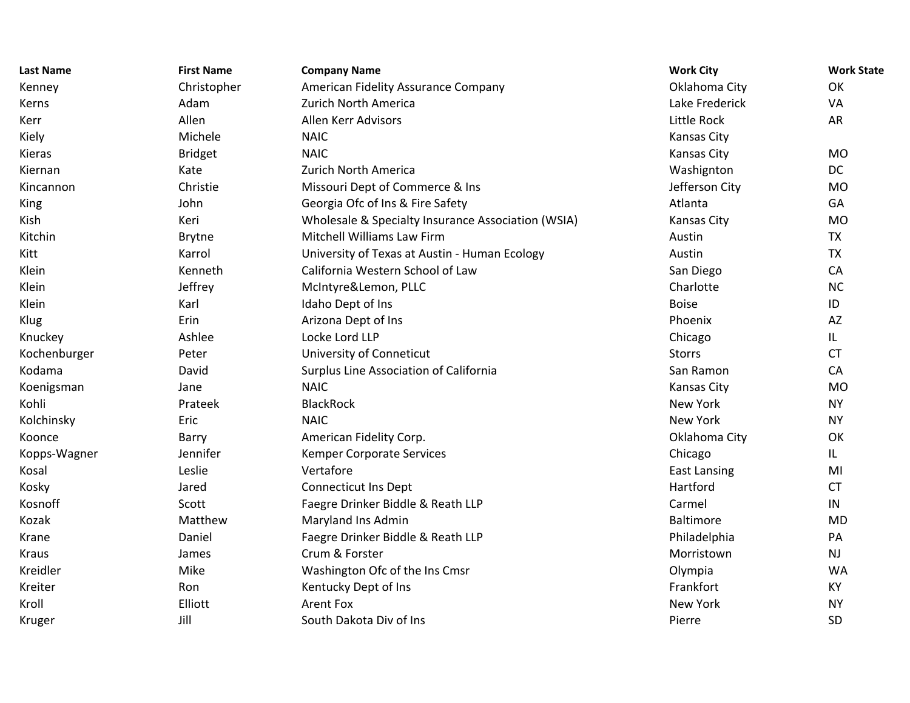| <b>Last Name</b> | <b>First Name</b> | <b>Company Name</b>                                | <b>Work City</b>    | <b>Work State</b> |
|------------------|-------------------|----------------------------------------------------|---------------------|-------------------|
| Kenney           | Christopher       | American Fidelity Assurance Company                | Oklahoma City       | OK                |
| Kerns            | Adam              | Zurich North America                               | Lake Frederick      | VA                |
| Kerr             | Allen             | Allen Kerr Advisors                                | Little Rock         | AR                |
| Kiely            | Michele           | <b>NAIC</b>                                        | <b>Kansas City</b>  |                   |
| Kieras           | <b>Bridget</b>    | <b>NAIC</b>                                        | <b>Kansas City</b>  | <b>MO</b>         |
| Kiernan          | Kate              | Zurich North America                               | Washignton          | DC                |
| Kincannon        | Christie          | Missouri Dept of Commerce & Ins                    | Jefferson City      | <b>MO</b>         |
| King             | John              | Georgia Ofc of Ins & Fire Safety                   | Atlanta             | GA                |
| Kish             | Keri              | Wholesale & Specialty Insurance Association (WSIA) | <b>Kansas City</b>  | <b>MO</b>         |
| Kitchin          | <b>Brytne</b>     | Mitchell Williams Law Firm                         | Austin              | <b>TX</b>         |
| Kitt             | Karrol            | University of Texas at Austin - Human Ecology      | Austin              | <b>TX</b>         |
| Klein            | Kenneth           | California Western School of Law                   | San Diego           | CA                |
| Klein            | Jeffrey           | McIntyre&Lemon, PLLC                               | Charlotte           | <b>NC</b>         |
| Klein            | Karl              | Idaho Dept of Ins                                  | <b>Boise</b>        | ID                |
| Klug             | Erin              | Arizona Dept of Ins                                | Phoenix             | AZ                |
| Knuckey          | Ashlee            | Locke Lord LLP                                     | Chicago             | IL                |
| Kochenburger     | Peter             | University of Conneticut                           | <b>Storrs</b>       | <b>CT</b>         |
| Kodama           | David             | Surplus Line Association of California             | San Ramon           | CA                |
| Koenigsman       | Jane              | <b>NAIC</b>                                        | <b>Kansas City</b>  | <b>MO</b>         |
| Kohli            | Prateek           | <b>BlackRock</b>                                   | <b>New York</b>     | <b>NY</b>         |
| Kolchinsky       | Eric              | <b>NAIC</b>                                        | <b>New York</b>     | <b>NY</b>         |
| Koonce           | Barry             | American Fidelity Corp.                            | Oklahoma City       | OK                |
| Kopps-Wagner     | Jennifer          | Kemper Corporate Services                          | Chicago             | IL                |
| Kosal            | Leslie            | Vertafore                                          | <b>East Lansing</b> | MI                |
| Kosky            | Jared             | <b>Connecticut Ins Dept</b>                        | Hartford            | <b>CT</b>         |
| Kosnoff          | Scott             | Faegre Drinker Biddle & Reath LLP                  | Carmel              | IN                |
| Kozak            | Matthew           | Maryland Ins Admin                                 | <b>Baltimore</b>    | <b>MD</b>         |
| Krane            | Daniel            | Faegre Drinker Biddle & Reath LLP                  | Philadelphia        | PA                |
| Kraus            | James             | Crum & Forster                                     | Morristown          | <b>NJ</b>         |
| Kreidler         | Mike              | Washington Ofc of the Ins Cmsr                     | Olympia             | <b>WA</b>         |
| Kreiter          | Ron               | Kentucky Dept of Ins                               | Frankfort           | KY                |
| Kroll            | Elliott           | <b>Arent Fox</b>                                   | <b>New York</b>     | <b>NY</b>         |
| Kruger           | Jill              | South Dakota Div of Ins                            | Pierre              | SD                |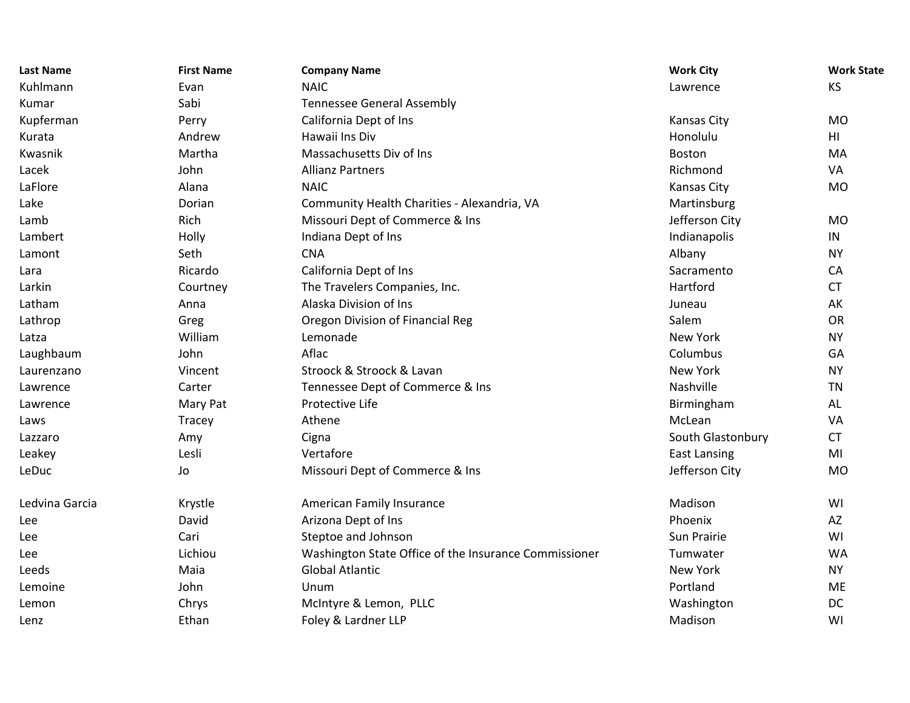| <b>Last Name</b> | <b>First Name</b> | <b>Company Name</b>                                   | <b>Work City</b>    | <b>Work State</b> |
|------------------|-------------------|-------------------------------------------------------|---------------------|-------------------|
| Kuhlmann         | Evan              | <b>NAIC</b>                                           | Lawrence            | <b>KS</b>         |
| Kumar            | Sabi              | <b>Tennessee General Assembly</b>                     |                     |                   |
| Kupferman        | Perry             | California Dept of Ins                                | Kansas City         | <b>MO</b>         |
| Kurata           | Andrew            | Hawaii Ins Div                                        | Honolulu            | HII               |
| Kwasnik          | Martha            | Massachusetts Div of Ins                              | Boston              | MA                |
| Lacek            | John              | <b>Allianz Partners</b>                               | Richmond            | VA                |
| LaFlore          | Alana             | <b>NAIC</b>                                           | Kansas City         | <b>MO</b>         |
| Lake             | Dorian            | Community Health Charities - Alexandria, VA           | Martinsburg         |                   |
| Lamb             | Rich              | Missouri Dept of Commerce & Ins                       | Jefferson City      | <b>MO</b>         |
| Lambert          | Holly             | Indiana Dept of Ins                                   | Indianapolis        | IN                |
| Lamont           | Seth              | <b>CNA</b>                                            | Albany              | <b>NY</b>         |
| Lara             | Ricardo           | California Dept of Ins                                | Sacramento          | CA                |
| Larkin           | Courtney          | The Travelers Companies, Inc.                         | Hartford            | <b>CT</b>         |
| Latham           | Anna              | Alaska Division of Ins                                | Juneau              | AK                |
| Lathrop          | Greg              | Oregon Division of Financial Reg                      | Salem               | <b>OR</b>         |
| Latza            | William           | Lemonade                                              | New York            | <b>NY</b>         |
| Laughbaum        | John              | Aflac                                                 | Columbus            | GA                |
| Laurenzano       | Vincent           | Stroock & Stroock & Lavan                             | <b>New York</b>     | <b>NY</b>         |
| Lawrence         | Carter            | Tennessee Dept of Commerce & Ins                      | Nashville           | <b>TN</b>         |
| Lawrence         | Mary Pat          | Protective Life                                       | Birmingham          | AL                |
| Laws             | Tracey            | Athene                                                | McLean              | VA                |
| Lazzaro          | Amy               | Cigna                                                 | South Glastonbury   | <b>CT</b>         |
| Leakey           | Lesli             | Vertafore                                             | <b>East Lansing</b> | MI                |
| LeDuc            | Jo                | Missouri Dept of Commerce & Ins                       | Jefferson City      | <b>MO</b>         |
| Ledvina Garcia   | Krystle           | American Family Insurance                             | Madison             | WI                |
| Lee              | David             | Arizona Dept of Ins                                   | Phoenix             | AZ                |
| Lee              | Cari              | Steptoe and Johnson                                   | Sun Prairie         | WI                |
| Lee              | Lichiou           | Washington State Office of the Insurance Commissioner | Tumwater            | <b>WA</b>         |
| Leeds            | Maia              | <b>Global Atlantic</b>                                | New York            | <b>NY</b>         |
| Lemoine          | John              | Unum                                                  | Portland            | <b>ME</b>         |
| Lemon            | Chrys             | McIntyre & Lemon, PLLC                                | Washington          | DC                |
| Lenz             | Ethan             | Foley & Lardner LLP                                   | Madison             | WI                |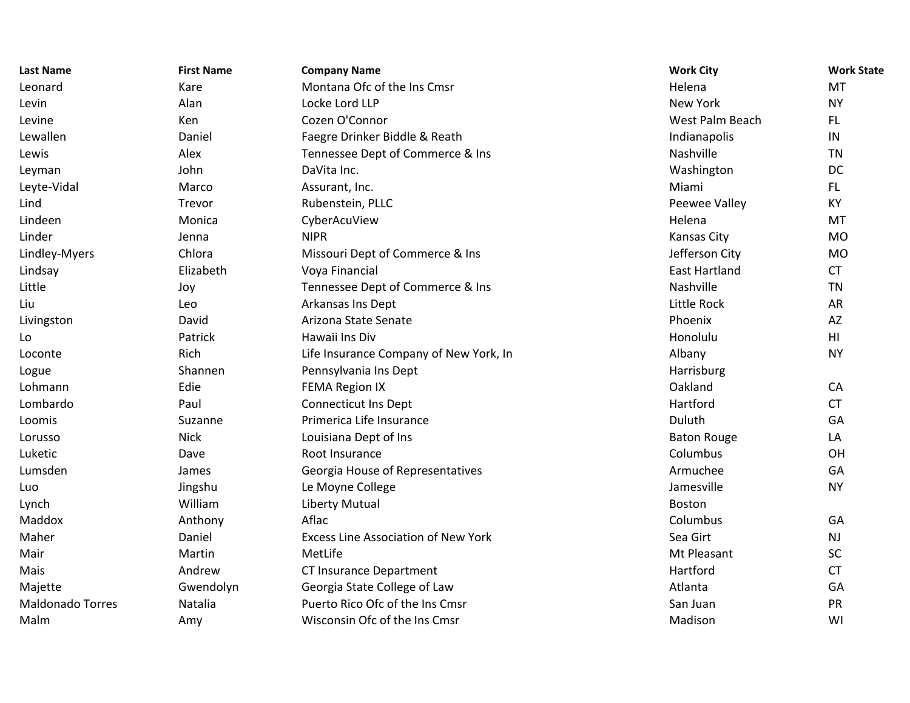| <b>Last Name</b>        | <b>First Name</b> | <b>Company Name</b>                        | <b>Work City</b>     | <b>Work State</b> |
|-------------------------|-------------------|--------------------------------------------|----------------------|-------------------|
| Leonard                 | Kare              | Montana Ofc of the Ins Cmsr                | Helena               | <b>MT</b>         |
| Levin                   | Alan              | Locke Lord LLP                             | <b>New York</b>      | <b>NY</b>         |
| Levine                  | Ken               | Cozen O'Connor                             | West Palm Beach      | FL.               |
| Lewallen                | Daniel            | Faegre Drinker Biddle & Reath              | Indianapolis         | IN                |
| Lewis                   | Alex              | Tennessee Dept of Commerce & Ins           | Nashville            | <b>TN</b>         |
| Leyman                  | John              | DaVita Inc.                                | Washington           | DC                |
| Leyte-Vidal             | Marco             | Assurant, Inc.                             | Miami                | FL.               |
| Lind                    | Trevor            | Rubenstein, PLLC                           | Peewee Valley        | KY                |
| Lindeen                 | Monica            | CyberAcuView                               | Helena               | MT                |
| Linder                  | Jenna             | <b>NIPR</b>                                | <b>Kansas City</b>   | <b>MO</b>         |
| Lindley-Myers           | Chlora            | Missouri Dept of Commerce & Ins            | Jefferson City       | <b>MO</b>         |
| Lindsay                 | Elizabeth         | Voya Financial                             | <b>East Hartland</b> | <b>CT</b>         |
| Little                  | Joy               | Tennessee Dept of Commerce & Ins           | Nashville            | <b>TN</b>         |
| Liu                     | Leo               | Arkansas Ins Dept                          | Little Rock          | AR                |
| Livingston              | David             | Arizona State Senate                       | Phoenix              | AZ                |
| Lo                      | Patrick           | Hawaii Ins Div                             | Honolulu             | H <sub>1</sub>    |
| Loconte                 | <b>Rich</b>       | Life Insurance Company of New York, In     | Albany               | <b>NY</b>         |
| Logue                   | Shannen           | Pennsylvania Ins Dept                      | Harrisburg           |                   |
| Lohmann                 | Edie              | <b>FEMA Region IX</b>                      | Oakland              | CA                |
| Lombardo                | Paul              | <b>Connecticut Ins Dept</b>                | Hartford             | <b>CT</b>         |
| Loomis                  | Suzanne           | Primerica Life Insurance                   | Duluth               | GA                |
| Lorusso                 | <b>Nick</b>       | Louisiana Dept of Ins                      | <b>Baton Rouge</b>   | LA                |
| Luketic                 | Dave              | Root Insurance                             | Columbus             | OH                |
| Lumsden                 | James             | Georgia House of Representatives           | Armuchee             | GA                |
| Luo                     | Jingshu           | Le Moyne College                           | Jamesville           | <b>NY</b>         |
| Lynch                   | William           | <b>Liberty Mutual</b>                      | Boston               |                   |
| Maddox                  | Anthony           | Aflac                                      | Columbus             | GA                |
| Maher                   | Daniel            | <b>Excess Line Association of New York</b> | Sea Girt             | <b>NJ</b>         |
| Mair                    | Martin            | MetLife                                    | Mt Pleasant          | SC                |
| Mais                    | Andrew            | <b>CT Insurance Department</b>             | Hartford             | <b>CT</b>         |
| Majette                 | Gwendolyn         | Georgia State College of Law               | Atlanta              | GA                |
| <b>Maldonado Torres</b> | Natalia           | Puerto Rico Ofc of the Ins Cmsr            | San Juan             | PR                |
| Malm                    | Amy               | Wisconsin Ofc of the Ins Cmsr              | Madison              | WI                |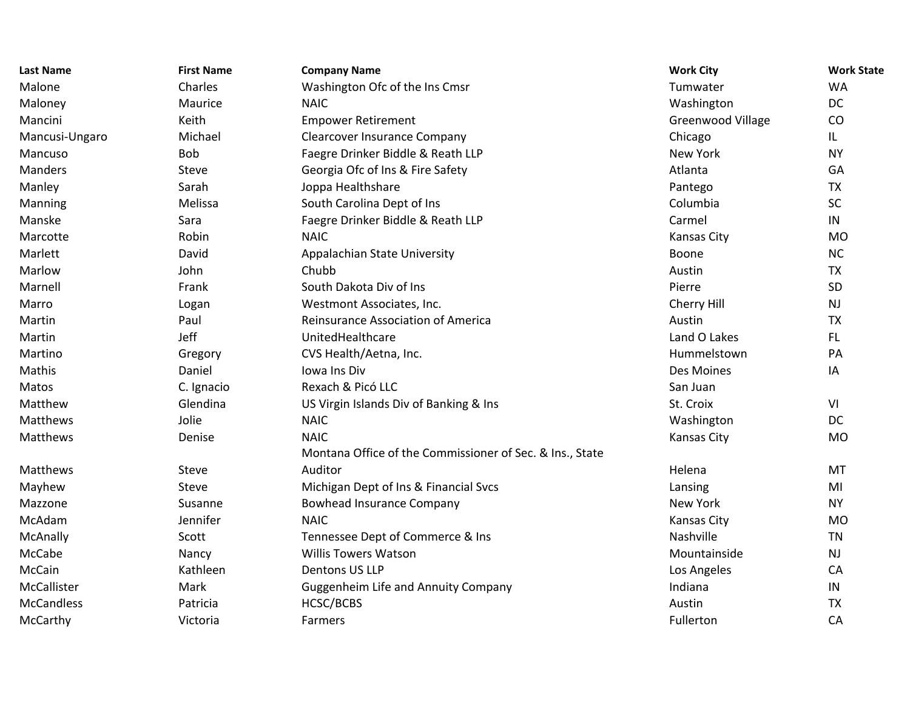| <b>Last Name</b>  | <b>First Name</b> | <b>Company Name</b>                                      | <b>Work City</b>         | <b>Work State</b> |
|-------------------|-------------------|----------------------------------------------------------|--------------------------|-------------------|
| Malone            | Charles           | Washington Ofc of the Ins Cmsr                           | Tumwater                 | <b>WA</b>         |
| Maloney           | Maurice           | <b>NAIC</b>                                              | Washington               | <b>DC</b>         |
| Mancini           | Keith             | <b>Empower Retirement</b>                                | <b>Greenwood Village</b> | CO                |
| Mancusi-Ungaro    | Michael           | <b>Clearcover Insurance Company</b>                      | Chicago                  | IL.               |
| Mancuso           | Bob               | Faegre Drinker Biddle & Reath LLP                        | <b>New York</b>          | <b>NY</b>         |
| <b>Manders</b>    | Steve             | Georgia Ofc of Ins & Fire Safety                         | Atlanta                  | GA                |
| Manley            | Sarah             | Joppa Healthshare                                        | Pantego                  | <b>TX</b>         |
| Manning           | Melissa           | South Carolina Dept of Ins                               | Columbia                 | SC                |
| Manske            | Sara              | Faegre Drinker Biddle & Reath LLP                        | Carmel                   | IN                |
| Marcotte          | Robin             | <b>NAIC</b>                                              | <b>Kansas City</b>       | <b>MO</b>         |
| Marlett           | David             | Appalachian State University                             | Boone                    | <b>NC</b>         |
| Marlow            | John              | Chubb                                                    | Austin                   | <b>TX</b>         |
| Marnell           | Frank             | South Dakota Div of Ins                                  | Pierre                   | SD                |
| Marro             | Logan             | Westmont Associates, Inc.                                | Cherry Hill              | <b>NJ</b>         |
| Martin            | Paul              | Reinsurance Association of America                       | Austin                   | <b>TX</b>         |
| Martin            | Jeff              | UnitedHealthcare                                         | Land O Lakes             | FL.               |
| Martino           | Gregory           | CVS Health/Aetna, Inc.                                   | Hummelstown              | PA                |
| Mathis            | Daniel            | Iowa Ins Div                                             | Des Moines               | IA                |
| Matos             | C. Ignacio        | Rexach & Picó LLC                                        | San Juan                 |                   |
| Matthew           | Glendina          | US Virgin Islands Div of Banking & Ins                   | St. Croix                | VI                |
| Matthews          | Jolie             | <b>NAIC</b>                                              | Washington               | <b>DC</b>         |
| Matthews          | Denise            | <b>NAIC</b>                                              | Kansas City              | <b>MO</b>         |
|                   |                   | Montana Office of the Commissioner of Sec. & Ins., State |                          |                   |
| Matthews          | Steve             | Auditor                                                  | Helena                   | <b>MT</b>         |
| Mayhew            | Steve             | Michigan Dept of Ins & Financial Svcs                    | Lansing                  | MI                |
| Mazzone           | Susanne           | <b>Bowhead Insurance Company</b>                         | New York                 | <b>NY</b>         |
| McAdam            | Jennifer          | <b>NAIC</b>                                              | Kansas City              | <b>MO</b>         |
| McAnally          | Scott             | Tennessee Dept of Commerce & Ins                         | Nashville                | <b>TN</b>         |
| McCabe            | Nancy             | <b>Willis Towers Watson</b>                              | Mountainside             | NJ                |
| McCain            | Kathleen          | Dentons US LLP                                           | Los Angeles              | CA                |
| McCallister       | Mark              | <b>Guggenheim Life and Annuity Company</b>               | Indiana                  | IN                |
| <b>McCandless</b> | Patricia          | HCSC/BCBS                                                | Austin                   | <b>TX</b>         |
| McCarthy          | Victoria          | Farmers                                                  | Fullerton                | CA                |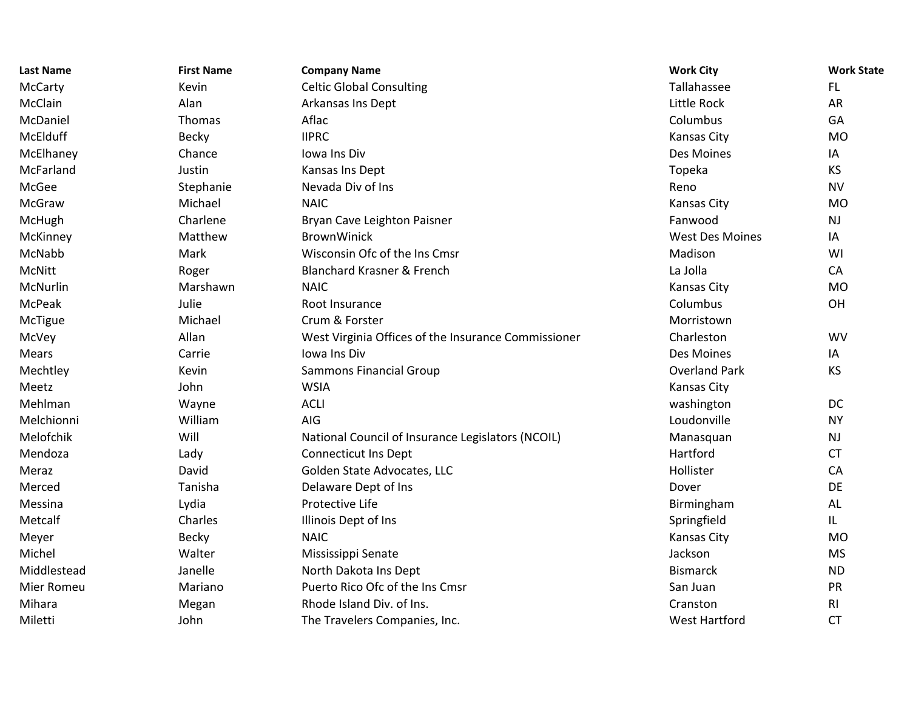| <b>Last Name</b> | <b>First Name</b> | <b>Company Name</b>                                 | <b>Work City</b>       | <b>Work State</b> |
|------------------|-------------------|-----------------------------------------------------|------------------------|-------------------|
| McCarty          | Kevin             | <b>Celtic Global Consulting</b>                     | Tallahassee            | FL.               |
| McClain          | Alan              | Arkansas Ins Dept                                   | Little Rock            | <b>AR</b>         |
| McDaniel         | Thomas            | Aflac                                               | Columbus               | GA                |
| McElduff         | <b>Becky</b>      | <b>IIPRC</b>                                        | Kansas City            | <b>MO</b>         |
| McElhaney        | Chance            | Iowa Ins Div                                        | Des Moines             | IA                |
| McFarland        | Justin            | Kansas Ins Dept                                     | Topeka                 | <b>KS</b>         |
| McGee            | Stephanie         | Nevada Div of Ins                                   | Reno                   | <b>NV</b>         |
| McGraw           | Michael           | <b>NAIC</b>                                         | Kansas City            | <b>MO</b>         |
| McHugh           | Charlene          | Bryan Cave Leighton Paisner                         | Fanwood                | <b>NJ</b>         |
| McKinney         | Matthew           | <b>BrownWinick</b>                                  | <b>West Des Moines</b> | IA                |
| McNabb           | Mark              | Wisconsin Ofc of the Ins Cmsr                       | Madison                | WI                |
| McNitt           | Roger             | <b>Blanchard Krasner &amp; French</b>               | La Jolla               | CA                |
| McNurlin         | Marshawn          | <b>NAIC</b>                                         | Kansas City            | <b>MO</b>         |
| McPeak           | Julie             | Root Insurance                                      | Columbus               | OH                |
| McTigue          | Michael           | Crum & Forster                                      | Morristown             |                   |
| McVey            | Allan             | West Virginia Offices of the Insurance Commissioner | Charleston             | <b>WV</b>         |
| Mears            | Carrie            | Iowa Ins Div                                        | Des Moines             | IA                |
| Mechtley         | Kevin             | <b>Sammons Financial Group</b>                      | <b>Overland Park</b>   | KS                |
| Meetz            | John              | <b>WSIA</b>                                         | Kansas City            |                   |
| Mehlman          | Wayne             | <b>ACLI</b>                                         | washington             | DC                |
| Melchionni       | William           | AIG                                                 | Loudonville            | <b>NY</b>         |
| Melofchik        | Will              | National Council of Insurance Legislators (NCOIL)   | Manasquan              | <b>NJ</b>         |
| Mendoza          | Lady              | <b>Connecticut Ins Dept</b>                         | Hartford               | <b>CT</b>         |
| Meraz            | David             | Golden State Advocates, LLC                         | Hollister              | CA                |
| Merced           | Tanisha           | Delaware Dept of Ins                                | Dover                  | DE                |
| Messina          | Lydia             | Protective Life                                     | Birmingham             | AL                |
| Metcalf          | Charles           | Illinois Dept of Ins                                | Springfield            | IL.               |
| Meyer            | Becky             | <b>NAIC</b>                                         | Kansas City            | <b>MO</b>         |
| Michel           | Walter            | Mississippi Senate                                  | Jackson                | <b>MS</b>         |
| Middlestead      | Janelle           | North Dakota Ins Dept                               | <b>Bismarck</b>        | <b>ND</b>         |
| Mier Romeu       | Mariano           | Puerto Rico Ofc of the Ins Cmsr                     | San Juan               | PR                |
| Mihara           | Megan             | Rhode Island Div. of Ins.                           | Cranston               | R <sub>l</sub>    |
| Miletti          | John              | The Travelers Companies, Inc.                       | <b>West Hartford</b>   | <b>CT</b>         |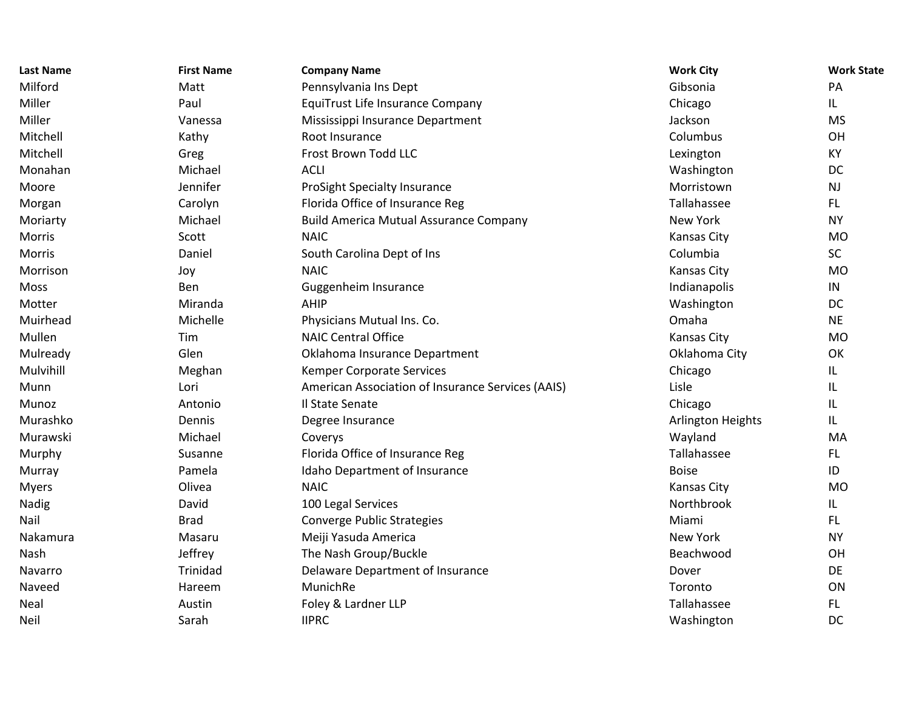| <b>Last Name</b> | <b>First Name</b> | <b>Company Name</b>                               | <b>Work City</b>   | <b>Work State</b> |
|------------------|-------------------|---------------------------------------------------|--------------------|-------------------|
| Milford          | Matt              | Pennsylvania Ins Dept                             | Gibsonia           | PA                |
| Miller           | Paul              | <b>EquiTrust Life Insurance Company</b>           | Chicago            | IL.               |
| Miller           | Vanessa           | Mississippi Insurance Department                  | Jackson            | <b>MS</b>         |
| Mitchell         | Kathy             | Root Insurance                                    | Columbus           | OH                |
| Mitchell         | Greg              | Frost Brown Todd LLC                              | Lexington          | KY                |
| Monahan          | Michael           | <b>ACLI</b>                                       | Washington         | DC                |
| Moore            | Jennifer          | ProSight Specialty Insurance                      | Morristown         | <b>NJ</b>         |
| Morgan           | Carolyn           | Florida Office of Insurance Reg                   | Tallahassee        | FL.               |
| Moriarty         | Michael           | <b>Build America Mutual Assurance Company</b>     | New York           | <b>NY</b>         |
| Morris           | Scott             | <b>NAIC</b>                                       | Kansas City        | <b>MO</b>         |
| Morris           | Daniel            | South Carolina Dept of Ins                        | Columbia           | <b>SC</b>         |
| Morrison         | Joy               | <b>NAIC</b>                                       | Kansas City        | <b>MO</b>         |
| Moss             | Ben               | Guggenheim Insurance                              | Indianapolis       | IN                |
| Motter           | Miranda           | AHIP                                              | Washington         | DC                |
| Muirhead         | Michelle          | Physicians Mutual Ins. Co.                        | Omaha              | <b>NE</b>         |
| Mullen           | Tim               | <b>NAIC Central Office</b>                        | Kansas City        | <b>MO</b>         |
| Mulready         | Glen              | Oklahoma Insurance Department                     | Oklahoma City      | OK                |
| Mulvihill        | Meghan            | Kemper Corporate Services                         | Chicago            | IL.               |
| Munn             | Lori              | American Association of Insurance Services (AAIS) | Lisle              | IL                |
| Munoz            | Antonio           | Il State Senate                                   | Chicago            | IL                |
| Murashko         | Dennis            | Degree Insurance                                  | Arlington Heights  | IL.               |
| Murawski         | Michael           | Coverys                                           | Wayland            | MA                |
| Murphy           | Susanne           | Florida Office of Insurance Reg                   | Tallahassee        | FL.               |
| Murray           | Pamela            | Idaho Department of Insurance                     | <b>Boise</b>       | ID                |
| <b>Myers</b>     | Olivea            | <b>NAIC</b>                                       | <b>Kansas City</b> | <b>MO</b>         |
| Nadig            | David             | 100 Legal Services                                | Northbrook         | IL.               |
| Nail             | <b>Brad</b>       | <b>Converge Public Strategies</b>                 | Miami              | FL.               |
| Nakamura         | Masaru            | Meiji Yasuda America                              | New York           | <b>NY</b>         |
| Nash             | Jeffrey           | The Nash Group/Buckle                             | Beachwood          | OH                |
| Navarro          | Trinidad          | Delaware Department of Insurance                  | Dover              | <b>DE</b>         |
| Naveed           | Hareem            | MunichRe                                          | Toronto            | ON                |
| Neal             | Austin            | Foley & Lardner LLP                               | Tallahassee        | FL.               |
| Neil             | Sarah             | <b>IIPRC</b>                                      | Washington         | DC                |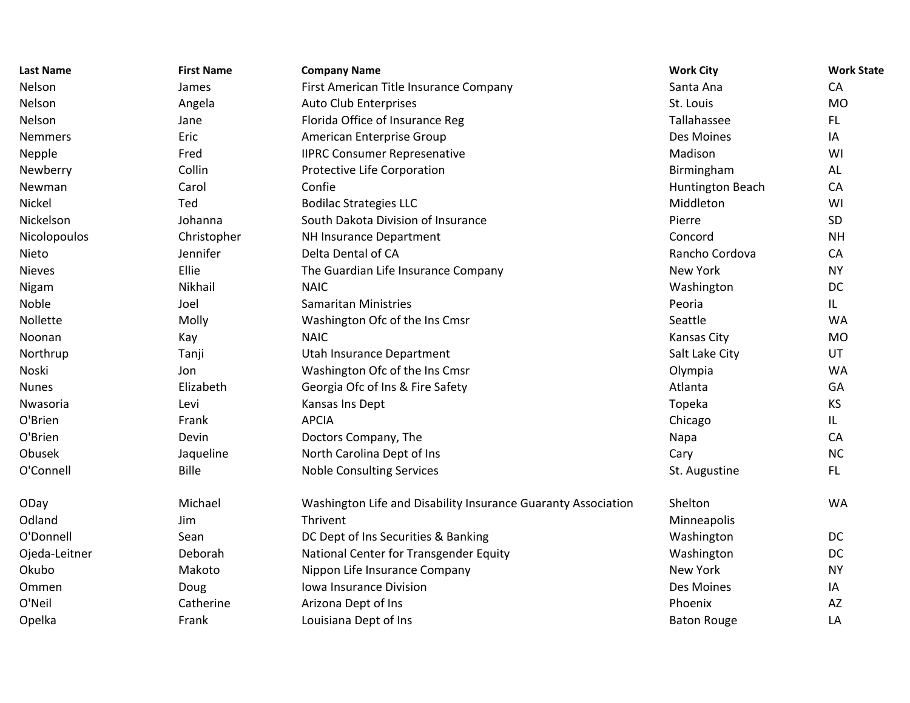| <b>Last Name</b> | <b>First Name</b> | <b>Company Name</b>                                           | <b>Work City</b>   | <b>Work State</b> |
|------------------|-------------------|---------------------------------------------------------------|--------------------|-------------------|
| Nelson           | James             | First American Title Insurance Company                        | Santa Ana          | CA                |
| Nelson           | Angela            | Auto Club Enterprises                                         | St. Louis          | <b>MO</b>         |
| Nelson           | Jane              | Florida Office of Insurance Reg                               | Tallahassee        | FL.               |
| <b>Nemmers</b>   | Eric              | American Enterprise Group                                     | Des Moines         | IA                |
| Nepple           | Fred              | <b>IIPRC Consumer Represenative</b>                           | Madison            | WI                |
| Newberry         | Collin            | Protective Life Corporation                                   | Birmingham         | AL                |
| Newman           | Carol             | Confie                                                        | Huntington Beach   | CA                |
| Nickel           | Ted               | <b>Bodilac Strategies LLC</b>                                 | Middleton          | WI                |
| Nickelson        | Johanna           | South Dakota Division of Insurance                            | Pierre             | SD                |
| Nicolopoulos     | Christopher       | NH Insurance Department                                       | Concord            | <b>NH</b>         |
| Nieto            | Jennifer          | Delta Dental of CA                                            | Rancho Cordova     | CA                |
| <b>Nieves</b>    | Ellie             | The Guardian Life Insurance Company                           | New York           | <b>NY</b>         |
| Nigam            | Nikhail           | <b>NAIC</b>                                                   | Washington         | DC                |
| Noble            | Joel              | <b>Samaritan Ministries</b>                                   | Peoria             | IL.               |
| Nollette         | Molly             | Washington Ofc of the Ins Cmsr                                | Seattle            | <b>WA</b>         |
| Noonan           | Kay               | <b>NAIC</b>                                                   | Kansas City        | <b>MO</b>         |
| Northrup         | Tanji             | Utah Insurance Department                                     | Salt Lake City     | UT                |
| Noski            | Jon               | Washington Ofc of the Ins Cmsr                                | Olympia            | <b>WA</b>         |
| <b>Nunes</b>     | Elizabeth         | Georgia Ofc of Ins & Fire Safety                              | Atlanta            | GA                |
| Nwasoria         | Levi              | Kansas Ins Dept                                               | Topeka             | <b>KS</b>         |
| O'Brien          | Frank             | <b>APCIA</b>                                                  | Chicago            | IL.               |
| O'Brien          | Devin             | Doctors Company, The                                          | Napa               | CA                |
| Obusek           | Jaqueline         | North Carolina Dept of Ins                                    | Cary               | <b>NC</b>         |
| O'Connell        | <b>Bille</b>      | <b>Noble Consulting Services</b>                              | St. Augustine      | FL.               |
| ODay             | Michael           | Washington Life and Disability Insurance Guaranty Association | Shelton            | <b>WA</b>         |
| Odland           | Jim               | Thrivent                                                      | Minneapolis        |                   |
| O'Donnell        | Sean              | DC Dept of Ins Securities & Banking                           | Washington         | DC                |
| Ojeda-Leitner    | Deborah           | National Center for Transgender Equity                        | Washington         | DC                |
| Okubo            | Makoto            | Nippon Life Insurance Company                                 | New York           | <b>NY</b>         |
| Ommen            | Doug              | Iowa Insurance Division                                       | Des Moines         | IA                |
| O'Neil           | Catherine         | Arizona Dept of Ins                                           | Phoenix            | AZ                |
| Opelka           | Frank             | Louisiana Dept of Ins                                         | <b>Baton Rouge</b> | LA                |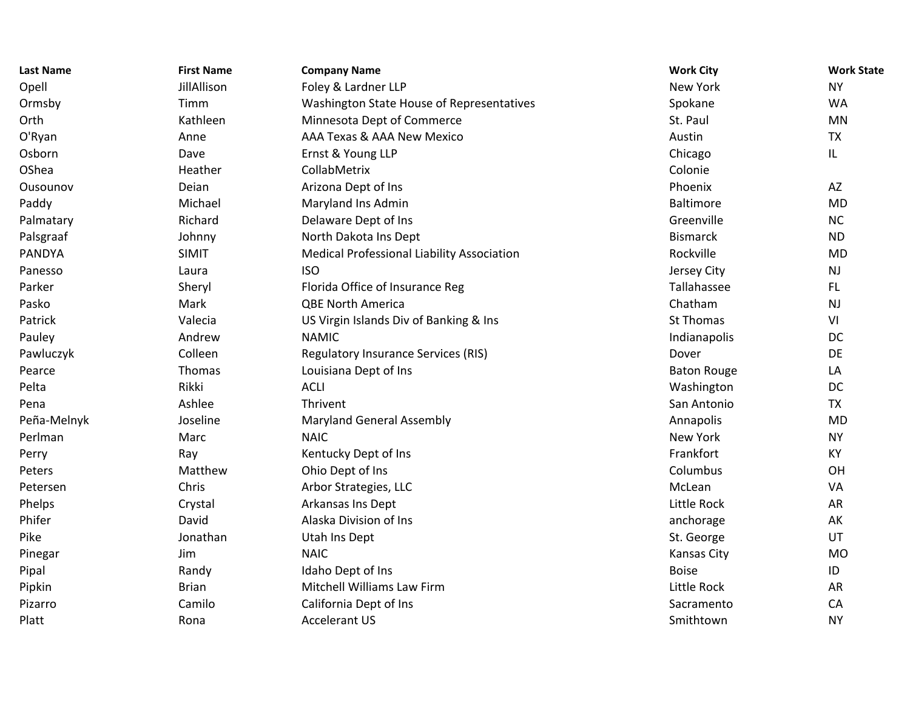| <b>Last Name</b> | <b>First Name</b> | <b>Company Name</b>                        | <b>Work City</b>   | <b>Work State</b> |
|------------------|-------------------|--------------------------------------------|--------------------|-------------------|
| Opell            | JillAllison       | Foley & Lardner LLP                        | New York           | <b>NY</b>         |
| Ormsby           | Timm              | Washington State House of Representatives  | Spokane            | <b>WA</b>         |
| Orth             | Kathleen          | Minnesota Dept of Commerce                 | St. Paul           | MN                |
| O'Ryan           | Anne              | AAA Texas & AAA New Mexico                 | Austin             | <b>TX</b>         |
| Osborn           | Dave              | Ernst & Young LLP                          | Chicago            | L                 |
| OShea            | Heather           | CollabMetrix                               | Colonie            |                   |
| Ousounov         | Deian             | Arizona Dept of Ins                        | Phoenix            | AZ                |
| Paddy            | Michael           | Maryland Ins Admin                         | Baltimore          | <b>MD</b>         |
| Palmatary        | Richard           | Delaware Dept of Ins                       | Greenville         | NC                |
| Palsgraaf        | Johnny            | North Dakota Ins Dept                      | <b>Bismarck</b>    | <b>ND</b>         |
| <b>PANDYA</b>    | <b>SIMIT</b>      | Medical Professional Liability Association | Rockville          | <b>MD</b>         |
| Panesso          | Laura             | <b>ISO</b>                                 | Jersey City        | <b>NJ</b>         |
| Parker           | Sheryl            | Florida Office of Insurance Reg            | Tallahassee        | <b>FL</b>         |
| Pasko            | Mark              | <b>QBE North America</b>                   | Chatham            | <b>NJ</b>         |
| Patrick          | Valecia           | US Virgin Islands Div of Banking & Ins     | St Thomas          | VI                |
| Pauley           | Andrew            | <b>NAMIC</b>                               | Indianapolis       | DC                |
| Pawluczyk        | Colleen           | <b>Regulatory Insurance Services (RIS)</b> | Dover              | DE                |
| Pearce           | Thomas            | Louisiana Dept of Ins                      | <b>Baton Rouge</b> | LA                |
| Pelta            | Rikki             | <b>ACLI</b>                                | Washington         | DC                |
| Pena             | Ashlee            | Thrivent                                   | San Antonio        | <b>TX</b>         |
| Peña-Melnyk      | Joseline          | <b>Maryland General Assembly</b>           | Annapolis          | <b>MD</b>         |
| Perlman          | Marc              | <b>NAIC</b>                                | New York           | <b>NY</b>         |
| Perry            | Ray               | Kentucky Dept of Ins                       | Frankfort          | KY                |
| Peters           | Matthew           | Ohio Dept of Ins                           | Columbus           | OH                |
| Petersen         | Chris             | Arbor Strategies, LLC                      | McLean             | VA                |
| Phelps           | Crystal           | Arkansas Ins Dept                          | Little Rock        | AR                |
| Phifer           | David             | Alaska Division of Ins                     | anchorage          | AK                |
| Pike             | Jonathan          | Utah Ins Dept                              | St. George         | UT                |
| Pinegar          | Jim               | <b>NAIC</b>                                | <b>Kansas City</b> | <b>MO</b>         |
| Pipal            | Randy             | Idaho Dept of Ins                          | <b>Boise</b>       | ID                |
| Pipkin           | <b>Brian</b>      | <b>Mitchell Williams Law Firm</b>          | Little Rock        | AR                |
| Pizarro          | Camilo            | California Dept of Ins                     | Sacramento         | CA                |
| Platt            | Rona              | <b>Accelerant US</b>                       | Smithtown          | <b>NY</b>         |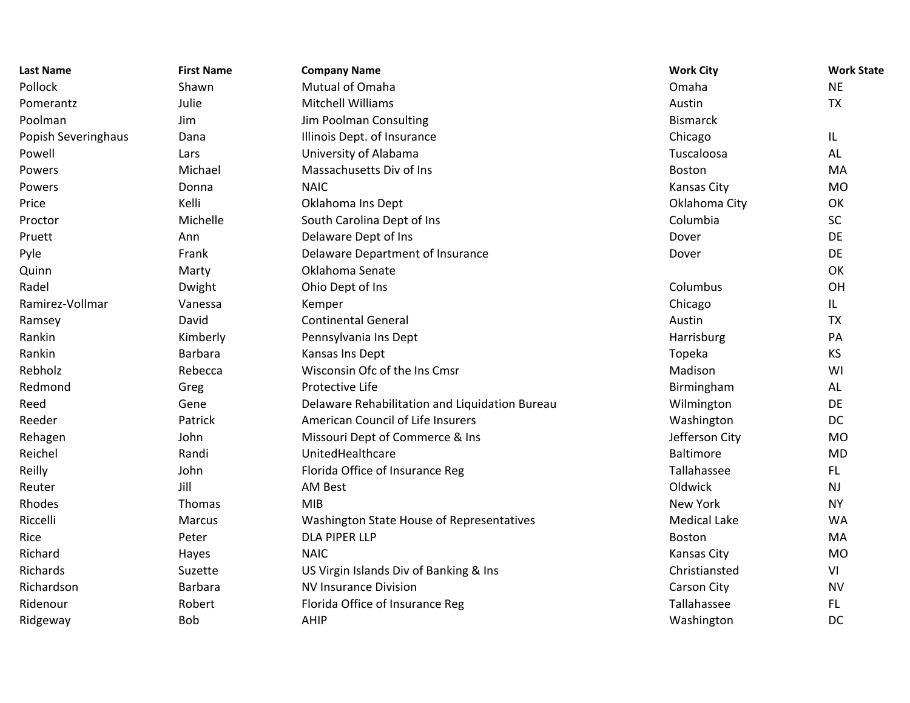| <b>Last Name</b>    | <b>First Name</b> | <b>Company Name</b>                            | <b>Work City</b>    | <b>Work State</b> |
|---------------------|-------------------|------------------------------------------------|---------------------|-------------------|
| Pollock             | Shawn             | Mutual of Omaha                                | Omaha               | <b>NE</b>         |
| Pomerantz           | Julie             | <b>Mitchell Williams</b>                       | Austin              | <b>TX</b>         |
| Poolman             | Jim               | Jim Poolman Consulting                         | <b>Bismarck</b>     |                   |
| Popish Severinghaus | Dana              | Illinois Dept. of Insurance                    | Chicago             | IL.               |
| Powell              | Lars              | University of Alabama                          | Tuscaloosa          | AL                |
| Powers              | Michael           | Massachusetts Div of Ins                       | Boston              | MA                |
| Powers              | Donna             | <b>NAIC</b>                                    | Kansas City         | MO                |
| Price               | Kelli             | Oklahoma Ins Dept                              | Oklahoma City       | OK                |
| Proctor             | Michelle          | South Carolina Dept of Ins                     | Columbia            | <b>SC</b>         |
| Pruett              | Ann               | Delaware Dept of Ins                           | Dover               | DE                |
| Pyle                | Frank             | Delaware Department of Insurance               | Dover               | DE                |
| Quinn               | Marty             | Oklahoma Senate                                |                     | OK                |
| Radel               | Dwight            | Ohio Dept of Ins                               | Columbus            | OH                |
| Ramirez-Vollmar     | Vanessa           | Kemper                                         | Chicago             | IL.               |
| Ramsey              | David             | <b>Continental General</b>                     | Austin              | <b>TX</b>         |
| Rankin              | Kimberly          | Pennsylvania Ins Dept                          | Harrisburg          | PA                |
| Rankin              | <b>Barbara</b>    | Kansas Ins Dept                                | Topeka              | <b>KS</b>         |
| Rebholz             | Rebecca           | Wisconsin Ofc of the Ins Cmsr                  | Madison             | WI                |
| Redmond             | Greg              | Protective Life                                | Birmingham          | AL                |
| Reed                | Gene              | Delaware Rehabilitation and Liquidation Bureau | Wilmington          | DE                |
| Reeder              | Patrick           | American Council of Life Insurers              | Washington          | DC                |
| Rehagen             | John              | Missouri Dept of Commerce & Ins                | Jefferson City      | <b>MO</b>         |
| Reichel             | Randi             | UnitedHealthcare                               | <b>Baltimore</b>    | <b>MD</b>         |
| Reilly              | John              | Florida Office of Insurance Reg                | Tallahassee         | FL.               |
| Reuter              | Jill              | <b>AM Best</b>                                 | Oldwick             | <b>NJ</b>         |
| Rhodes              | Thomas            | <b>MIB</b>                                     | <b>New York</b>     | <b>NY</b>         |
| Riccelli            | <b>Marcus</b>     | Washington State House of Representatives      | <b>Medical Lake</b> | <b>WA</b>         |
| Rice                | Peter             | <b>DLA PIPER LLP</b>                           | Boston              | MA                |
| Richard             | Hayes             | <b>NAIC</b>                                    | Kansas City         | <b>MO</b>         |
| Richards            | Suzette           | US Virgin Islands Div of Banking & Ins         | Christiansted       | VI                |
| Richardson          | <b>Barbara</b>    | <b>NV Insurance Division</b>                   | Carson City         | <b>NV</b>         |
| Ridenour            | Robert            | Florida Office of Insurance Reg                | Tallahassee         | FL.               |
| Ridgeway            | Bob               | <b>AHIP</b>                                    | Washington          | DC                |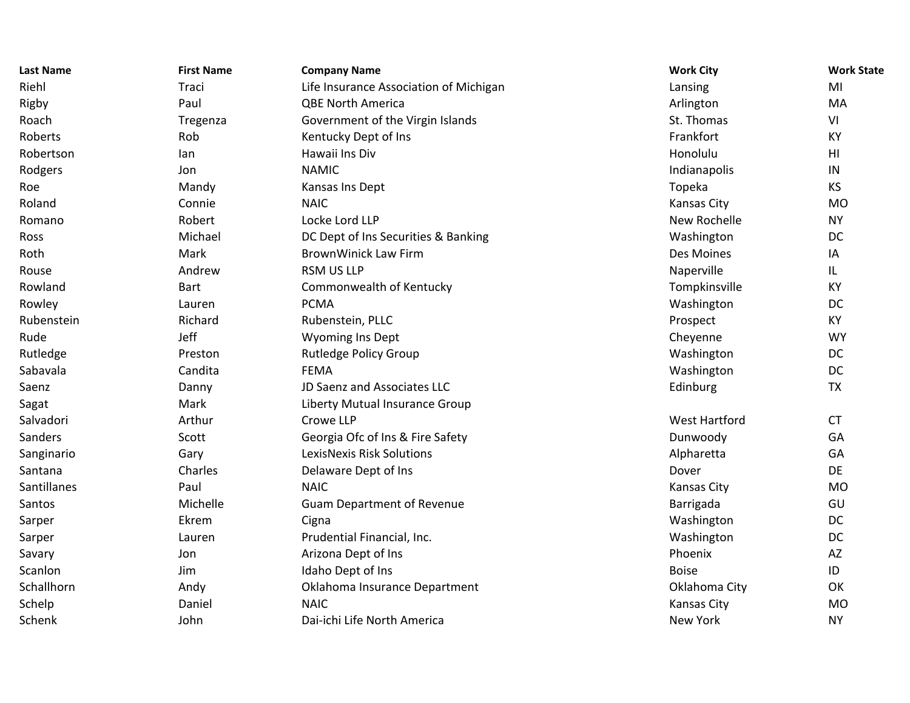| <b>Last Name</b> | <b>First Name</b> | <b>Company Name</b>                    | <b>Work City</b>     | <b>Work State</b> |
|------------------|-------------------|----------------------------------------|----------------------|-------------------|
| Riehl            | Traci             | Life Insurance Association of Michigan | Lansing              | MI                |
| Rigby            | Paul              | <b>QBE North America</b>               | Arlington            | MA                |
| Roach            | Tregenza          | Government of the Virgin Islands       | St. Thomas           | VI                |
| Roberts          | Rob               | Kentucky Dept of Ins                   | Frankfort            | <b>KY</b>         |
| Robertson        | lan               | Hawaii Ins Div                         | Honolulu             | HI                |
| Rodgers          | Jon               | <b>NAMIC</b>                           | Indianapolis         | ${\sf IN}$        |
| Roe              | Mandy             | Kansas Ins Dept                        | Topeka               | KS                |
| Roland           | Connie            | <b>NAIC</b>                            | Kansas City          | <b>MO</b>         |
| Romano           | Robert            | Locke Lord LLP                         | New Rochelle         | <b>NY</b>         |
| Ross             | Michael           | DC Dept of Ins Securities & Banking    | Washington           | DC                |
| Roth             | Mark              | <b>BrownWinick Law Firm</b>            | Des Moines           | IA                |
| Rouse            | Andrew            | <b>RSM US LLP</b>                      | Naperville           | IL.               |
| Rowland          | <b>Bart</b>       | Commonwealth of Kentucky               | Tompkinsville        | KY                |
| Rowley           | Lauren            | <b>PCMA</b>                            | Washington           | DC                |
| Rubenstein       | Richard           | Rubenstein, PLLC                       | Prospect             | KY                |
| Rude             | Jeff              | <b>Wyoming Ins Dept</b>                | Cheyenne             | <b>WY</b>         |
| Rutledge         | Preston           | <b>Rutledge Policy Group</b>           | Washington           | DC                |
| Sabavala         | Candita           | <b>FEMA</b>                            | Washington           | DC                |
| Saenz            | Danny             | JD Saenz and Associates LLC            | Edinburg             | <b>TX</b>         |
| Sagat            | Mark              | Liberty Mutual Insurance Group         |                      |                   |
| Salvadori        | Arthur            | Crowe LLP                              | <b>West Hartford</b> | <b>CT</b>         |
| Sanders          | Scott             | Georgia Ofc of Ins & Fire Safety       | Dunwoody             | GA                |
| Sanginario       | Gary              | LexisNexis Risk Solutions              | Alpharetta           | GA                |
| Santana          | Charles           | Delaware Dept of Ins                   | Dover                | DE                |
| Santillanes      | Paul              | <b>NAIC</b>                            | <b>Kansas City</b>   | <b>MO</b>         |
| Santos           | Michelle          | <b>Guam Department of Revenue</b>      | Barrigada            | GU                |
| Sarper           | Ekrem             | Cigna                                  | Washington           | DC                |
| Sarper           | Lauren            | Prudential Financial, Inc.             | Washington           | DC                |
| Savary           | Jon               | Arizona Dept of Ins                    | Phoenix              | <b>AZ</b>         |
| Scanlon          | Jim               | Idaho Dept of Ins                      | <b>Boise</b>         | ID                |
| Schallhorn       | Andy              | Oklahoma Insurance Department          | Oklahoma City        | OK                |
| Schelp           | Daniel            | <b>NAIC</b>                            | Kansas City          | <b>MO</b>         |
| Schenk           | John              | Dai-ichi Life North America            | New York             | <b>NY</b>         |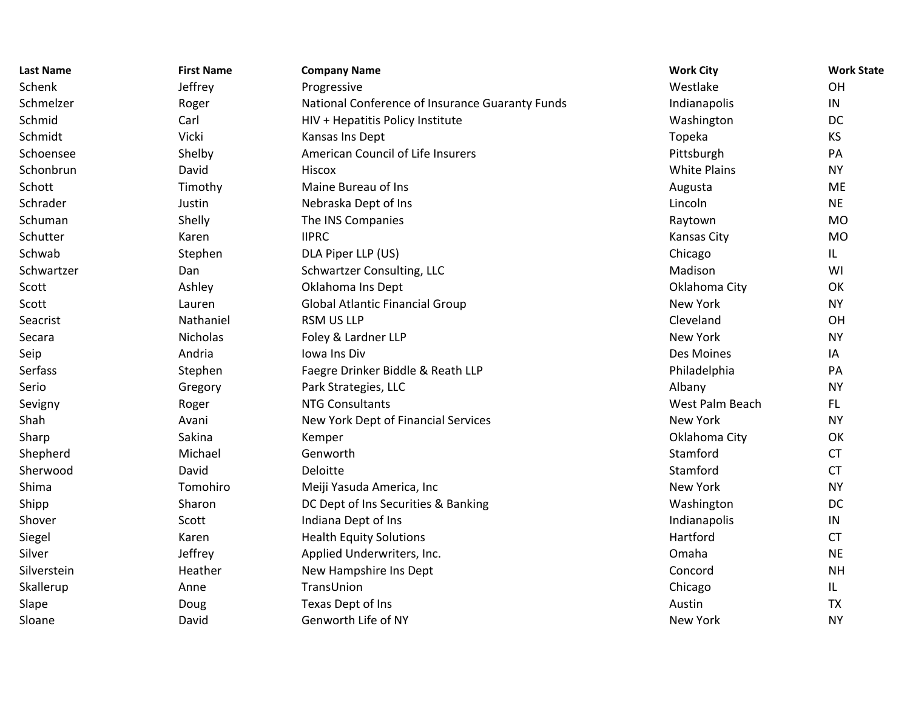| <b>Last Name</b> | <b>First Name</b> | <b>Company Name</b>                             | <b>Work City</b>    | <b>Work State</b> |
|------------------|-------------------|-------------------------------------------------|---------------------|-------------------|
| Schenk           | Jeffrey           | Progressive                                     | Westlake            | OH                |
| Schmelzer        | Roger             | National Conference of Insurance Guaranty Funds | Indianapolis        | IN                |
| Schmid           | Carl              | HIV + Hepatitis Policy Institute                | Washington          | DC                |
| Schmidt          | Vicki             | Kansas Ins Dept                                 | Topeka              | KS                |
| Schoensee        | Shelby            | American Council of Life Insurers               | Pittsburgh          | PA                |
| Schonbrun        | David             | Hiscox                                          | <b>White Plains</b> | <b>NY</b>         |
| Schott           | Timothy           | Maine Bureau of Ins                             | Augusta             | ME                |
| Schrader         | Justin            | Nebraska Dept of Ins                            | Lincoln             | <b>NE</b>         |
| Schuman          | Shelly            | The INS Companies                               | Raytown             | <b>MO</b>         |
| Schutter         | Karen             | <b>IIPRC</b>                                    | <b>Kansas City</b>  | <b>MO</b>         |
| Schwab           | Stephen           | DLA Piper LLP (US)                              | Chicago             | IL                |
| Schwartzer       | Dan               | Schwartzer Consulting, LLC                      | Madison             | WI                |
| Scott            | Ashley            | Oklahoma Ins Dept                               | Oklahoma City       | OK                |
| Scott            | Lauren            | <b>Global Atlantic Financial Group</b>          | New York            | <b>NY</b>         |
| Seacrist         | Nathaniel         | <b>RSM US LLP</b>                               | Cleveland           | OH                |
| Secara           | Nicholas          | Foley & Lardner LLP                             | New York            | <b>NY</b>         |
| Seip             | Andria            | <b>Iowa Ins Div</b>                             | Des Moines          | IA                |
| Serfass          | Stephen           | Faegre Drinker Biddle & Reath LLP               | Philadelphia        | PA                |
| Serio            | Gregory           | Park Strategies, LLC                            | Albany              | <b>NY</b>         |
| Sevigny          | Roger             | <b>NTG Consultants</b>                          | West Palm Beach     | FL.               |
| Shah             | Avani             | New York Dept of Financial Services             | New York            | <b>NY</b>         |
| Sharp            | Sakina            | Kemper                                          | Oklahoma City       | OK                |
| Shepherd         | Michael           | Genworth                                        | Stamford            | <b>CT</b>         |
| Sherwood         | David             | Deloitte                                        | Stamford            | <b>CT</b>         |
| Shima            | Tomohiro          | Meiji Yasuda America, Inc                       | New York            | <b>NY</b>         |
| Shipp            | Sharon            | DC Dept of Ins Securities & Banking             | Washington          | DC                |
| Shover           | Scott             | Indiana Dept of Ins                             | Indianapolis        | IN                |
| Siegel           | Karen             | <b>Health Equity Solutions</b>                  | Hartford            | <b>CT</b>         |
| Silver           | Jeffrey           | Applied Underwriters, Inc.                      | Omaha               | <b>NE</b>         |
| Silverstein      | Heather           | New Hampshire Ins Dept                          | Concord             | <b>NH</b>         |
| Skallerup        | Anne              | TransUnion                                      | Chicago             | IL                |
| Slape            | Doug              | Texas Dept of Ins                               | Austin              | <b>TX</b>         |
| Sloane           | David             | Genworth Life of NY                             | New York            | <b>NY</b>         |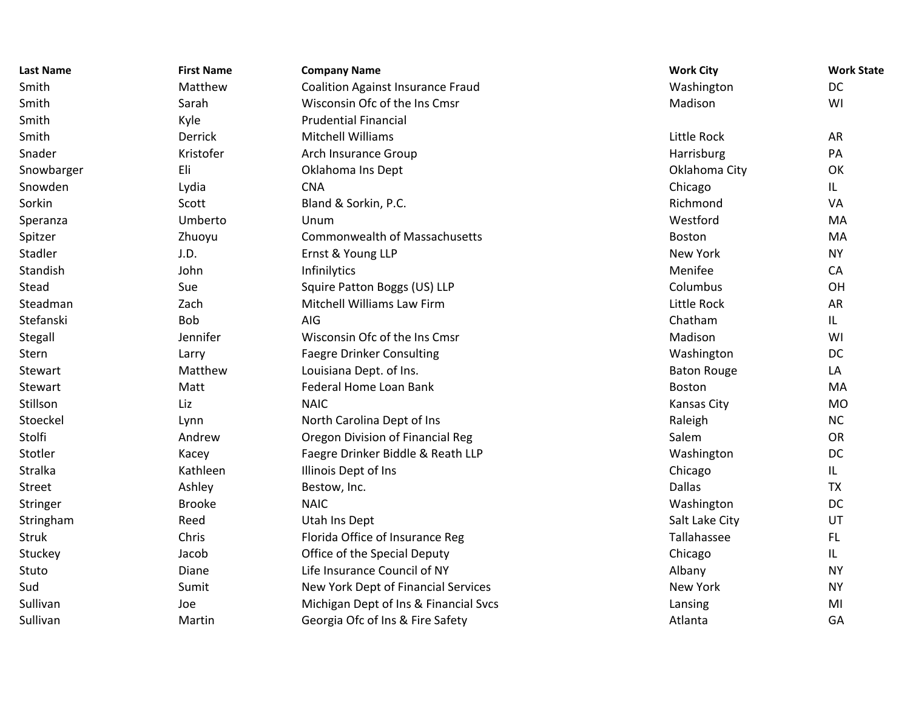| <b>Last Name</b> | <b>First Name</b> | <b>Company Name</b>                      | <b>Work City</b>   | <b>Work State</b> |
|------------------|-------------------|------------------------------------------|--------------------|-------------------|
| Smith            | Matthew           | <b>Coalition Against Insurance Fraud</b> | Washington         | DC                |
| Smith            | Sarah             | Wisconsin Ofc of the Ins Cmsr            | Madison            | WI                |
| Smith            | Kyle              | <b>Prudential Financial</b>              |                    |                   |
| Smith            | Derrick           | <b>Mitchell Williams</b>                 | Little Rock        | <b>AR</b>         |
| Snader           | Kristofer         | Arch Insurance Group                     | Harrisburg         | PA                |
| Snowbarger       | Eli               | Oklahoma Ins Dept                        | Oklahoma City      | OK                |
| Snowden          | Lydia             | <b>CNA</b>                               | Chicago            | IL.               |
| Sorkin           | Scott             | Bland & Sorkin, P.C.                     | Richmond           | VA                |
| Speranza         | Umberto           | Unum                                     | Westford           | MA                |
| Spitzer          | Zhuoyu            | <b>Commonwealth of Massachusetts</b>     | Boston             | MA                |
| Stadler          | J.D.              | Ernst & Young LLP                        | New York           | <b>NY</b>         |
| Standish         | John              | Infinilytics                             | Menifee            | CA                |
| Stead            | Sue               | Squire Patton Boggs (US) LLP             | Columbus           | OH                |
| Steadman         | Zach              | Mitchell Williams Law Firm               | Little Rock        | <b>AR</b>         |
| Stefanski        | <b>Bob</b>        | AIG                                      | Chatham            | IL.               |
| Stegall          | Jennifer          | Wisconsin Ofc of the Ins Cmsr            | Madison            | WI                |
| Stern            | Larry             | <b>Faegre Drinker Consulting</b>         | Washington         | DC                |
| Stewart          | Matthew           | Louisiana Dept. of Ins.                  | <b>Baton Rouge</b> | LA                |
| Stewart          | Matt              | Federal Home Loan Bank                   | Boston             | MA                |
| Stillson         | Liz               | <b>NAIC</b>                              | Kansas City        | <b>MO</b>         |
| Stoeckel         | Lynn              | North Carolina Dept of Ins               | Raleigh            | NC                |
| Stolfi           | Andrew            | Oregon Division of Financial Reg         | Salem              | OR                |
| Stotler          | Kacey             | Faegre Drinker Biddle & Reath LLP        | Washington         | DC                |
| Stralka          | Kathleen          | Illinois Dept of Ins                     | Chicago            | IL.               |
| Street           | Ashley            | Bestow, Inc.                             | Dallas             | <b>TX</b>         |
| Stringer         | <b>Brooke</b>     | <b>NAIC</b>                              | Washington         | DC                |
| Stringham        | Reed              | Utah Ins Dept                            | Salt Lake City     | UT                |
| <b>Struk</b>     | Chris             | Florida Office of Insurance Reg          | Tallahassee        | FL.               |
| Stuckey          | Jacob             | Office of the Special Deputy             | Chicago            | IL.               |
| Stuto            | Diane             | Life Insurance Council of NY             | Albany             | <b>NY</b>         |
| Sud              | Sumit             | New York Dept of Financial Services      | New York           | <b>NY</b>         |
| Sullivan         | Joe               | Michigan Dept of Ins & Financial Svcs    | Lansing            | MI                |
| Sullivan         | Martin            | Georgia Ofc of Ins & Fire Safety         | Atlanta            | GA                |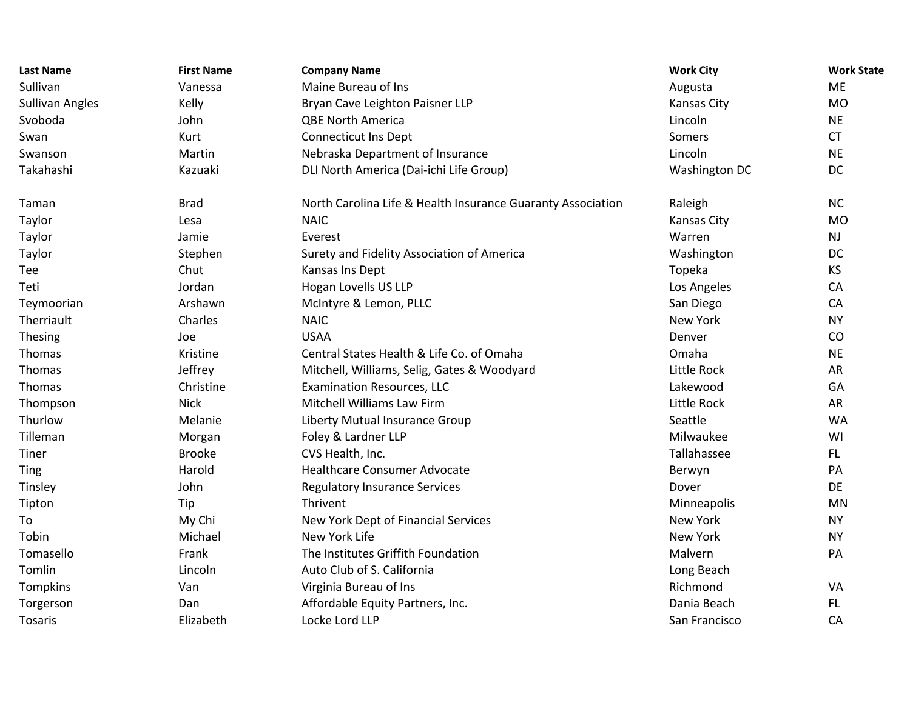| <b>Last Name</b>       | <b>First Name</b> | <b>Company Name</b>                                         | <b>Work City</b>   | <b>Work State</b> |
|------------------------|-------------------|-------------------------------------------------------------|--------------------|-------------------|
| Sullivan               | Vanessa           | Maine Bureau of Ins                                         | Augusta            | <b>ME</b>         |
| <b>Sullivan Angles</b> | Kelly             | Bryan Cave Leighton Paisner LLP                             | Kansas City        | <b>MO</b>         |
| Svoboda                | John              | <b>QBE North America</b>                                    | Lincoln            | <b>NE</b>         |
| Swan                   | Kurt              | <b>Connecticut Ins Dept</b>                                 | Somers             | <b>CT</b>         |
| Swanson                | Martin            | Nebraska Department of Insurance                            | Lincoln            | <b>NE</b>         |
| Takahashi              | Kazuaki           | DLI North America (Dai-ichi Life Group)                     | Washington DC      | DC                |
| Taman                  | <b>Brad</b>       | North Carolina Life & Health Insurance Guaranty Association | Raleigh            | <b>NC</b>         |
| Taylor                 | Lesa              | <b>NAIC</b>                                                 | <b>Kansas City</b> | <b>MO</b>         |
| Taylor                 | Jamie             | Everest                                                     | Warren             | <b>NJ</b>         |
| Taylor                 | Stephen           | Surety and Fidelity Association of America                  | Washington         | DC                |
| Tee                    | Chut              | Kansas Ins Dept                                             | Topeka             | KS                |
| Teti                   | Jordan            | Hogan Lovells US LLP                                        | Los Angeles        | CA                |
| Teymoorian             | Arshawn           | McIntyre & Lemon, PLLC                                      | San Diego          | CA                |
| Therriault             | Charles           | <b>NAIC</b>                                                 | New York           | <b>NY</b>         |
| Thesing                | Joe               | <b>USAA</b>                                                 | Denver             | CO                |
| Thomas                 | Kristine          | Central States Health & Life Co. of Omaha                   | Omaha              | <b>NE</b>         |
| Thomas                 | Jeffrey           | Mitchell, Williams, Selig, Gates & Woodyard                 | Little Rock        | AR                |
| Thomas                 | Christine         | <b>Examination Resources, LLC</b>                           | Lakewood           | GA                |
| Thompson               | <b>Nick</b>       | Mitchell Williams Law Firm                                  | Little Rock        | AR                |
| Thurlow                | Melanie           | Liberty Mutual Insurance Group                              | Seattle            | <b>WA</b>         |
| Tilleman               | Morgan            | Foley & Lardner LLP                                         | Milwaukee          | WI                |
| Tiner                  | <b>Brooke</b>     | CVS Health, Inc.                                            | Tallahassee        | FL.               |
| Ting                   | Harold            | <b>Healthcare Consumer Advocate</b>                         | Berwyn             | PA                |
| Tinsley                | John              | <b>Regulatory Insurance Services</b>                        | Dover              | DE                |
| Tipton                 | Tip               | Thrivent                                                    | Minneapolis        | <b>MN</b>         |
| To                     | My Chi            | New York Dept of Financial Services                         | New York           | <b>NY</b>         |
| Tobin                  | Michael           | New York Life                                               | New York           | <b>NY</b>         |
| Tomasello              | Frank             | The Institutes Griffith Foundation                          | Malvern            | PA                |
| Tomlin                 | Lincoln           | Auto Club of S. California                                  | Long Beach         |                   |
| Tompkins               | Van               | Virginia Bureau of Ins                                      | Richmond           | VA                |
| Torgerson              | Dan               | Affordable Equity Partners, Inc.                            | Dania Beach        | FL.               |
| <b>Tosaris</b>         | Elizabeth         | Locke Lord LLP                                              | San Francisco      | CA                |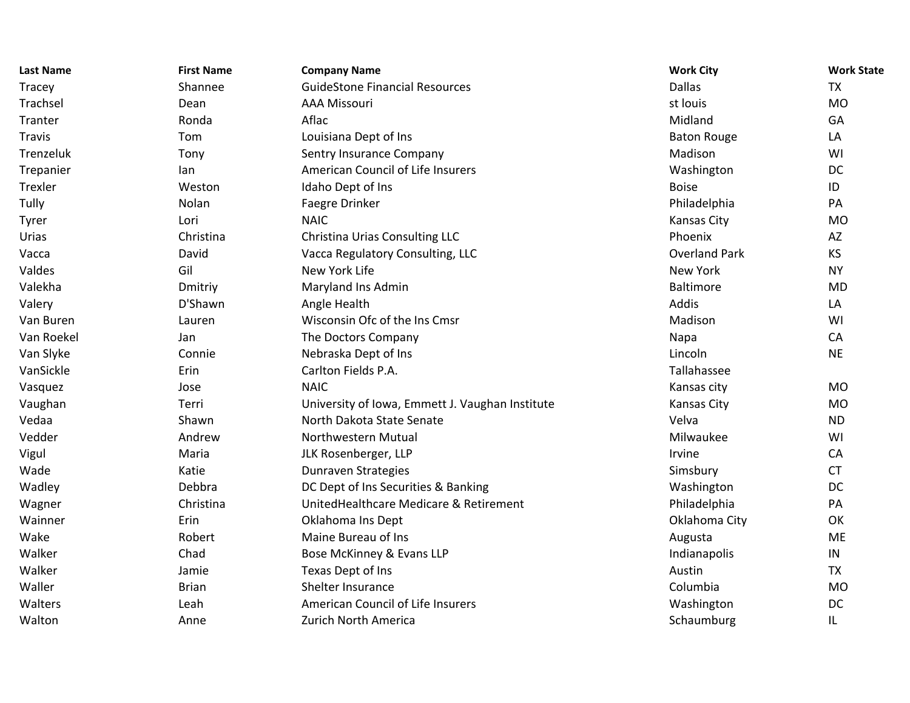| <b>Last Name</b> | <b>First Name</b> | <b>Company Name</b>                             | <b>Work City</b>     | <b>Work State</b> |
|------------------|-------------------|-------------------------------------------------|----------------------|-------------------|
| <b>Tracey</b>    | Shannee           | <b>GuideStone Financial Resources</b>           | <b>Dallas</b>        | <b>TX</b>         |
| Trachsel         | Dean              | <b>AAA Missouri</b>                             | st louis             | <b>MO</b>         |
| Tranter          | Ronda             | Aflac                                           | Midland              | GA                |
| <b>Travis</b>    | Tom               | Louisiana Dept of Ins                           | <b>Baton Rouge</b>   | LA                |
| Trenzeluk        | Tony              | Sentry Insurance Company                        | Madison              | WI                |
| Trepanier        | lan               | American Council of Life Insurers               | Washington           | DC                |
| Trexler          | Weston            | Idaho Dept of Ins                               | <b>Boise</b>         | ID                |
| Tully            | Nolan             | Faegre Drinker                                  | Philadelphia         | PA                |
| Tyrer            | Lori              | <b>NAIC</b>                                     | <b>Kansas City</b>   | <b>MO</b>         |
| Urias            | Christina         | Christina Urias Consulting LLC                  | Phoenix              | AZ                |
| Vacca            | David             | Vacca Regulatory Consulting, LLC                | <b>Overland Park</b> | <b>KS</b>         |
| Valdes           | Gil               | New York Life                                   | New York             | <b>NY</b>         |
| Valekha          | Dmitriy           | Maryland Ins Admin                              | <b>Baltimore</b>     | <b>MD</b>         |
| Valery           | D'Shawn           | Angle Health                                    | Addis                | LA                |
| Van Buren        | Lauren            | Wisconsin Ofc of the Ins Cmsr                   | Madison              | WI                |
| Van Roekel       | Jan               | The Doctors Company                             | Napa                 | CA                |
| Van Slyke        | Connie            | Nebraska Dept of Ins                            | Lincoln              | <b>NE</b>         |
| VanSickle        | Erin              | Carlton Fields P.A.                             | Tallahassee          |                   |
| Vasquez          | Jose              | <b>NAIC</b>                                     | Kansas city          | <b>MO</b>         |
| Vaughan          | Terri             | University of Iowa, Emmett J. Vaughan Institute | Kansas City          | <b>MO</b>         |
| Vedaa            | Shawn             | North Dakota State Senate                       | Velva                | <b>ND</b>         |
| Vedder           | Andrew            | Northwestern Mutual                             | Milwaukee            | WI                |
| Vigul            | Maria             | JLK Rosenberger, LLP                            | Irvine               | CA                |
| Wade             | Katie             | Dunraven Strategies                             | Simsbury             | <b>CT</b>         |
| Wadley           | Debbra            | DC Dept of Ins Securities & Banking             | Washington           | DC                |
| Wagner           | Christina         | UnitedHealthcare Medicare & Retirement          | Philadelphia         | PA                |
| Wainner          | Erin              | Oklahoma Ins Dept                               | Oklahoma City        | OK                |
| Wake             | Robert            | Maine Bureau of Ins                             | Augusta              | ME                |
| Walker           | Chad              | Bose McKinney & Evans LLP                       | Indianapolis         | IN                |
| Walker           | Jamie             | Texas Dept of Ins                               | Austin               | <b>TX</b>         |
| Waller           | <b>Brian</b>      | Shelter Insurance                               | Columbia             | <b>MO</b>         |
| Walters          | Leah              | American Council of Life Insurers               | Washington           | DC                |
| Walton           | Anne              | Zurich North America                            | Schaumburg           | IL                |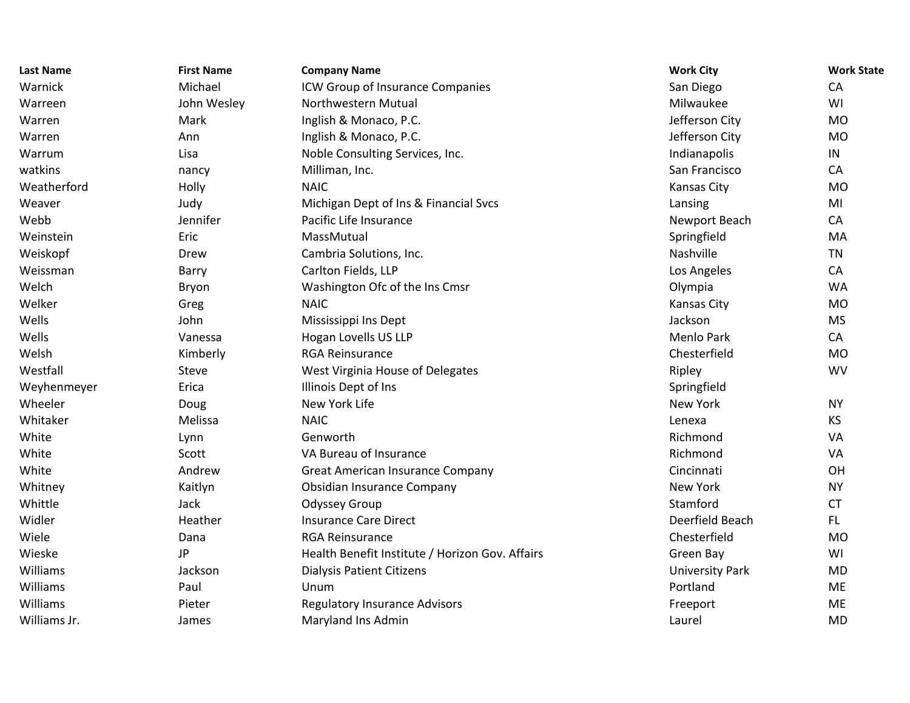| <b>Last Name</b> | <b>First Name</b> | <b>Company Name</b>                             | <b>Work City</b>       | <b>Work State</b> |
|------------------|-------------------|-------------------------------------------------|------------------------|-------------------|
| Warnick          | Michael           | ICW Group of Insurance Companies                | San Diego              | CA                |
| Warreen          | John Wesley       | Northwestern Mutual                             | Milwaukee              | WI                |
| Warren           | Mark              | Inglish & Monaco, P.C.                          | Jefferson City         | <b>MO</b>         |
| Warren           | Ann               | Inglish & Monaco, P.C.                          | Jefferson City         | <b>MO</b>         |
| Warrum           | Lisa              | Noble Consulting Services, Inc.                 | Indianapolis           | IN                |
| watkins          | nancy             | Milliman, Inc.                                  | San Francisco          | CA                |
| Weatherford      | Holly             | <b>NAIC</b>                                     | <b>Kansas City</b>     | <b>MO</b>         |
| Weaver           | Judy              | Michigan Dept of Ins & Financial Svcs           | Lansing                | MI                |
| Webb             | Jennifer          | Pacific Life Insurance                          | Newport Beach          | CA                |
| Weinstein        | Eric              | MassMutual                                      | Springfield            | MA                |
| Weiskopf         | Drew              | Cambria Solutions, Inc.                         | Nashville              | <b>TN</b>         |
| Weissman         | Barry             | Carlton Fields, LLP                             | Los Angeles            | CA                |
| Welch            | Bryon             | Washington Ofc of the Ins Cmsr                  | Olympia                | <b>WA</b>         |
| Welker           | Greg              | <b>NAIC</b>                                     | Kansas City            | <b>MO</b>         |
| Wells            | John              | Mississippi Ins Dept                            | Jackson                | <b>MS</b>         |
| Wells            | Vanessa           | Hogan Lovells US LLP                            | Menlo Park             | CA                |
| Welsh            | Kimberly          | <b>RGA Reinsurance</b>                          | Chesterfield           | <b>MO</b>         |
| Westfall         | Steve             | West Virginia House of Delegates                | Ripley                 | <b>WV</b>         |
| Weyhenmeyer      | Erica             | Illinois Dept of Ins                            | Springfield            |                   |
| Wheeler          | Doug              | New York Life                                   | New York               | <b>NY</b>         |
| Whitaker         | Melissa           | <b>NAIC</b>                                     | Lenexa                 | <b>KS</b>         |
| White            | Lynn              | Genworth                                        | Richmond               | VA                |
| White            | Scott             | VA Bureau of Insurance                          | Richmond               | VA                |
| White            | Andrew            | <b>Great American Insurance Company</b>         | Cincinnati             | OH                |
| Whitney          | Kaitlyn           | Obsidian Insurance Company                      | New York               | <b>NY</b>         |
| Whittle          | Jack              | Odyssey Group                                   | Stamford               | <b>CT</b>         |
| Widler           | Heather           | <b>Insurance Care Direct</b>                    | Deerfield Beach        | FL.               |
| Wiele            | Dana              | <b>RGA Reinsurance</b>                          | Chesterfield           | <b>MO</b>         |
| Wieske           | JP                | Health Benefit Institute / Horizon Gov. Affairs | Green Bay              | WI                |
| Williams         | Jackson           | <b>Dialysis Patient Citizens</b>                | <b>University Park</b> | <b>MD</b>         |
| Williams         | Paul              | Unum                                            | Portland               | <b>ME</b>         |
| Williams         | Pieter            | <b>Regulatory Insurance Advisors</b>            | Freeport               | <b>ME</b>         |
| Williams Jr.     | James             | Maryland Ins Admin                              | Laurel                 | <b>MD</b>         |